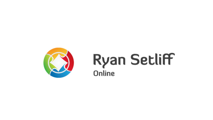

# **Ryan Setliff** Online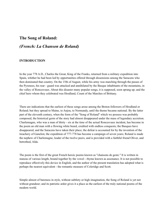# **The Song of Roland:**

## *(French: La Chanson de Roland)*

## **INTRODUCTION**

In the year 778 A.D., Charles the Great, King of the Franks, returned from a military expedition into Spain, whither he had been led by opportunities offered through dissensions among the Saracens who then dominated that country. On the 15th of August, while his army was marching through the passes of the Pyrenees, his rear - guard was attacked and annihilated by the Basque inhabitants of the mountains, in the valley of Roncesvaux. About this disaster many popular songs, it is supposed, soon sprang up; and the chief hero whom they celebrated was Hrodland, Count of the Marches of Brittany.

There are indications that the earliest of these songs arose among the Breton followers of Hrodland or Roland; but they spread to Maine, to Anjou, to Normandy, until the theme became national. By the latter part of the eleventh century, when the form of the "Song of Roland" which we possess was probably composed, the historical germ of the story had almost disappeared under the mass of legendary accretion. Charlemagne, who was a man of thirty - six at the time of the actual Roncesvaux incident, has become in the poem an old man with a flowing white beard, credited with endless conquests; the Basques have disappeared, and the Saracens have taken their place; the defeat is accounted for by the invention of the treachery of Ganelon; the expedition of 777-778 has become a campaign of seven years; Roland is made the nephew of Charlemagne, leader of the twelve peers, and is provided with a faithful friend Oliver, and betrothed, Alda.

The poem is the first of the great French heroic poems known as "chansons de geste." It is written in stanzas of various length, bound together by the vowel - rhyme known as assonance. It is not possible to reproduce effectively this device in English, and the author of the present translation has adopted what is perhaps the nearest equivalent - the romantic measure of Coleridge and Scott.

Simple almost of bareness in style, without subtlety or high imagination, the Song of Roland is yet not without grandeur; and its patriotic ardor gives it a place as the earliest of the truly national poems of the modern world.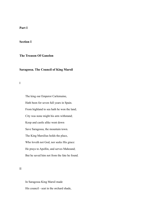## **Part I**

## **Section I**

## **The Treason Of Ganelon**

## **Saragossa. The Council of King Marsil**

I

 The king our Emperor Carlemaine, Hath been for seven full years in Spain. From highland to sea hath he won the land; City was none might his arm withstand; Keep and castle alike went down Save Saragossa, the mountain town. The King Marsilius holds the place, Who loveth not God, nor seeks His grace: He prays to Apollin, and serves Mahound; But he saved him not from the fate he found.

II

 In Saragossa King Marsil made His council - seat in the orchard shade,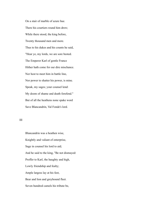On a stair of marble of azure hue. There his courtiers round him drew; While there stood, the king before, Twenty thousand men and more. Thus to his dukes and his counts he said, "Hear ye, my lords, we are sore bested. The Emperor Karl of gentle France Hither hath come for our dire mischance. Nor host to meet him in battle line, Nor power to shatter his power, is mine. Speak, my sages; your counsel lend: My doom of shame and death forefend." But of all the heathens none spake word Save Blancandrin, Val Fonde's lord.

III

 Blancandrin was a heathen wise, Knightly and valiant of enterprise, Sage in counsel his lord to aid; And he said to the king, "Be not dismayed: Proffer to Karl, the haughty and high, Lowly friendship and fealty; Ample largess lay at his feet, Bear and lion and greyhound fleet. Seven hundred camels his tribute be,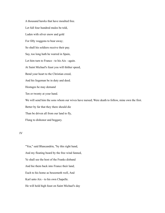A thousand hawks that have moulted free. Let full four hundred mules be told, Laden with silver enow and gold For fifty waggons to bear away; So shall his soldiers receive their pay. Say, too long hath he warred in Spain, Let him turn to France - to his Aix - again. At Saint Michael's feast you will thither speed, Bend your heart to the Christian creed, And his liegeman be in duty and deed. Hostages he may demand Ten or twenty at your hand. We will send him the sons whom our wives have nursed; Were death to follow, mine own the first. Better by far that they there should die Than be driven all from our land to fly, Flung to dishonor and beggary.

IV

 "Yea," said Blancandrin, "by this right hand, And my floating beard by the free wind fanned, Ye shall see the host of the Franks disband And hie them back into France their land; Each to his home as beseemeth well, And Karl unto Aix - to his own Chapelle. He will hold high feast on Saint Michael's day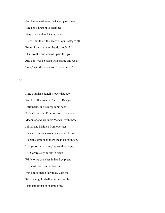And the time of your tryst shall pass away. Tale nor tidings of us shall be; Fiery and sudden, I know, is he: He will smite off the heads of our hostages all: Better, I say, that their heads should fall Than we the fair land of Spain forego, And our lives be laden with shame and woe." "Yea," said the heathens, "it may be so."

V

 King Marsil's council is over that day, And he called to him Clarin of Balaguet, Estramarin, and Eudropin his peer, Bade Garlon and Priamon both draw near, Machiner and his uncle Maheu - with these Joimer and Malbien from overseas, Blancandrin for spokesman, - of all his men He hath summoned there the most felon ten. "Go ye to Carlemaine," spake their liege, "At Cordres city he sits in siege, While olive branches in hand ye press, Token of peace and of lowliness. Win him to make fair treaty with me, Silver and gold shall your guerdon be, Land and lordship in ample fee."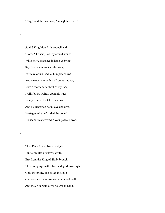"Nay," said the heathens, "enough have we."

## VI

 So did King Marsil his council end. "Lords," he said, "on my errand wend; While olive branches in hand ye bring, Say from me unto Karl the king, For sake of his God let him pity show; And ere ever a month shall come and go, With a thousand faithful of my race, I will follow swiftly upon his trace, Freely receive his Christian law, And his liegemen be in love and awe. Hostages asks he? it shall be done." Blancandrin answered, "Your peace is won."

## VII

 Then King Marsil bade be dight Ten fair mules of snowy white, Erst from the King of Sicily brought Their trappings with silver and gold inwrought Gold the bridle, and silver the selle. On these are the messengers mounted well; And they ride with olive boughs in hand,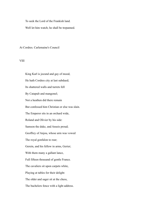To seek the Lord of the Frankish land.

Well let him watch; he shall be trepanned.

At Cordres. Carlemaine's Council

VIII

 King Karl is jocund and gay of mood, He hath Cordres city at last subdued; Its shattered walls and turrets fell By Catapult and mangonel; Not a heathen did there remain But confessed him Christian or else was slain. The Emperor sits in an orchard wide, Roland and Olivier by his side: Samson the duke, and Anseis proud; Geoffrey of Anjou, whose arm was vowed The royal gonfalon to rear; Gerein, and his fellow in arms, Gerier; With them many a gallant lance, Full fifteen thousand of gentle France. The cavaliers sit upon carpets white, Playing at tables for their delight: The older and sager sit at the chess, The bachelors fence with a light address.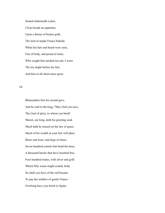Seated underneath a pine, Close beside an eglantine, Upon a throne of beaten gold, The lord of ample France behold; White his hair and beard were seen, Fair of body, and proud of mien, Who sought him needed not ask, I ween The ten alight before his feet, And him in all observance greet.

IX

 Blancandrin first his errand gave, And he said to the king, "May God you save, The God of glory, to whom you bend! Marsil, our king, doth his greeting send. Much hath he mused on the law of grace. Much of his wealth at your feet will place Bears and lions, and dogs of chase, Seven hundred camels that bend the knee, A thousand hawks that have moulted free, Four hundred mules, with silver and gold Which fifty wains might scantly hold, So shall you have of the red bezants To pay the soldiers of gentle France. Overlong have you dwelt in Spain,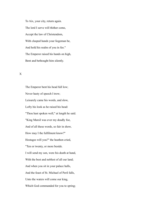To Aix, your city, return again. The lord I serve will thither come, Accept the law of Christendom, With clasped hands your liegeman be, And hold his realm of you in fee." The Emperor raised his hands on high, Bent and bethought him silently.

## X

 The Emperor bent his head full low; Never hasty of speech I trow; Leisurely came his words, and slow, Lofty his look as he raised his head: "Thou hast spoken well," at length he said. "King Marsil was ever my deadly foe, And of all these words, so fair in show, How may I the fulfilment know?" Hostages will you?" the heathen cried, "Ten or twenty, or more beside. I will send my son, were his death at hand, With the best and noblest of all our land; And when you sit in your palace halls, And the feast of St. Michael of Peril falls, Unto the waters will come our king, Which God commanded for you to spring;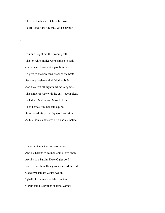There in the laver of Christ be laved.' "Yea!" said Karl, "he may yet be saved."

XI

 Fair and bright did the evening full: The ten white mules were stabled in stall; On the sward was a fair pavilion dressed, To give to the Saracens cheer of the best; Servitors twelve at their bidding bide, And they rest all night until morning tide. The Emperor rose with the day - dawn clear, Failed not Matins and Mass to hear, Then betook him beneath a pine, Summoned his barons by word and sign: As his Franks advise will his choice incline.

XII

 Under a pine is the Emperor gone, And his barons to council come forth anon: Archbishop Turpin, Duke Ogier bold With his nephew Henry was Richard the old, Gascony's gallant Count Acelin, Tybalt of Rheims, and Milo his kin, Gerein and his brother in arms, Gerier,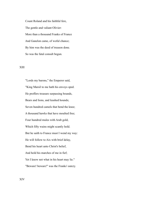Count Roland and his faithful fere, The gentle and valiant Olivier: More than a thousand Franks of France And Ganelon came, of woful chance; By him was the deed of treason done. So was the fatal consult begun.

## XIII

 "Lords my barons," the Emperor said, "King Marsil to me hath his envoys sped. He proffers treasure surpassing bounds, Bears and lions, and leashed hounds; Seven hundred camels that bend the knee; A thousand hawks that have moulted free; Four hundred mules with Arab gold, Which fifty wains might scantly hold. But he saith to France must I wend my way: He will follow to Aix with brief delay, Bend his heart unto Christ's belief, And hold his marches of me in fief; Yet I know not what in his heart may lie." "Beware! beware!" was the Franks' outcry.

XIV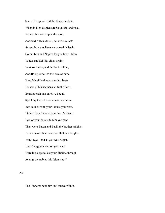Scarce his speech did the Emperor close, When in high displeasure Count Roland rose, Fronted his uncle upon the spot, And said, "This Marsil, believe him not: Seven full years have we warred in Spain; Commibles and Noples for you have I ta'en, Tudela and Sebilie, cities twain; Valtierra I won, and the land of Pine, And Balaguet fell to this arm of mine. King Marsil hath ever a traitor been: He sent of his heathens, at first fifteen. Bearing each one on olive bough, Speaking the self - same words as now. Into council with your Franks you went, Lightly they flattered your heart's intent; Two of your barons to him you sent, They were Basan and Basil, the brother knights: He smote off their heads on Haltoia's heights. War, I say! - end as you well began, Unto Saragossa lead on your van; Were the siege to last your lifetime through, Avenge the nobles this felon slew."

## XV

The Emperor bent him and mused within,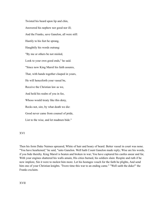Twisted his beard upon lip and chin, Answered his nephew nor good nor ill; And the Franks, save Ganelon, all were still: Hastily to his feet he sprang, Haughtily his words outrang: "By me or others be not misled, Look to your own good ends," he said. "Since now King Marsil his faith assures, That, with hands together clasped in yours, He will henceforth your vassal be, Receive the Christian law as we, And hold his realm of you in fee, Whoso would treaty like this deny, Recks not, sire, by what death we die: Good never came from counsel of pride, List to the wise, and let madmen bide."

XVI

Then his form Duke Naimes upreared, White of hair and hoary of beard. Better vassal in court was none. "You have hearkened," he said, "unto Ganelon. Well hath Count Ganelon made reply; Wise are his words, if you bide thereby. King Marsil is beaten and broken in war; You have captured his castles anear and far, With your engines shattered his walls amain, His cities burned, his soldiers slain: Respite and ruth if he now implore, Sin it were to molest him more. Let his hostages vouch for the faith he plights, And send him one of your Christian knights. 'Twere time this war to an ending came." "Well saith the duke!" the Franks exclaim.

XVII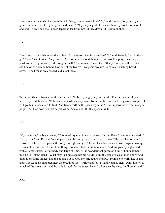"Lords my barons, who then were best In Saragossa to do our hest?" "I," said Naimes, "of your royal grace, Yield me in token your glove and mace." "Nay - my sagest of men art thou: By my beard upon lip and chin I vow Thou shalt never depart so far from me: Sit thee down till I summon thee.

## XVIII

"Lords my barons, whom send we, then, To Saragossa, the Saracen den?" "I," said Roland, "will blithely go." "Nay," said Olivier; "nay, not so. All too fiery of mood thou art; Thou wouldst play, I fear me, a perilous part. I go myself, if the king but will." "I command," said Karl, "that ye both be still. Neither shall be on this errand bound, Nor one of the twelve - my peers around; So by my blanching beard I swear." The Franks are abashed and silent there.

## XIX

Turpin of Rheims from amid the ranks Said: "Lolk, my liege, on your faithful Franks: Seven full years have they held this land, With pain and peril on every hand. To me be the mace and the glove consigned; I will go this Saracen lord to find, And freely forth will I speak my mind." The Emperor answered in angry plight, "Sit thee down on that carpet white; Speak not till I thy speech invite.

## XX

"My cavaliers," he began anew, "Choose of my marches a baron true, Before King Marsil my hest to do." "Be it, then," said Roland, "my stepsire Gan, In vain ye seek for a meeter man." The Franks exclaim, "He is worth the trust, So it please the king it is right and just." Count Ganelon then was with anguish wrung, His mantle of fur from his neck he flung, Stood all stark in his silken vest, And his grey eyes gleamed with a fierce unrest. Fair of body and large of limb, All in wonderment gazed on him. "Thou madman," thus he to Roland cried, "What may this rage against me betide? I am thy stepsire, as all men know, And thou doom'st me on hest like this to go; But so God my safe return bestow, I promise to work thee scathe and strife Long as thou breathest the breath of life." "Pride and folly!" said Roland, then. "Am I known to wreck of the threats of men? But this is work for the sagest head. So it please the king, I will go instead."

## XXI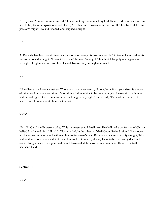"In my stead? - never, of mine accord. Thou art not my vassal nor I thy lord. Since Karl commands me his hest to fill, Unto Saragossa ride forth I will; Yet I fear me to wreak some deed of ill, Thereby to slake this passion's might." Roland listened, and laughed outright.

## XXII

At Roland's laughter Count Ganelon's pain Was as though his bosom were cleft in twain. He turned to his stepson as one distraught: "I do not love thee," he said, "in aught; Thou hast false judgment against me wrought. O righteous Emperor, here I stand To execute your high command.

## XXIII

"Unto Saragossa I needs must go; Who goeth may never return, I know; Yet withal, your sister is spouse of mine, And our son - no fairer of mortal line Baldwin bids to be goodly knight; I leave him my honors and fiefs of right. Guard him - no more shall he greet my sight." Saith Karl, "Thou art over tender of heart. Since I command it, thou shalt depart.

XXIV

"Fair Sir Gan," the Emperor spake, "This my message to Marsil take: He shall make confession of Christ's belief, And I yield him, full half of Spain in fief; In the other half shall Count Roland reign. If he choose not the terms I now ordain, I will march unto Saragossa's gate, Besiege and capture the city straight, Take and bind him both hands and feet, Lead him to Aix, to my royal seat, There to be tried and judged and slain, Dying a death of disgrace and pain. I have sealed the scroll of my command. Deliver it into the heathen's hand.

**Section II.**

XXV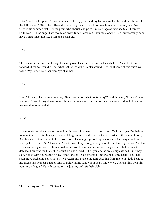"Gan," said the Emperor, "draw thou near: Take my glove and my baton here; On thee did the choice of thy fellows fall." "Sire, 'twas Roland who wrought it all. I shall not love him while life may last, Nor Olivier his comrade fast, Nor the peers who cherish and prize him so, Gage of defiance to all I throw." Saith Karl, "Thine anger hath too much sway. Since I ordain it, thou must obey." "I go, but warranty none have I That I may not like Basil and Basan die."

#### XXVI

The Emperor reached him his right - hand glove; Gan for his office had scanty love; As he bent him forward, it fell to ground: "God, what is this?" said the Franks around; "Evil will come of this quest we fear." "My lords," said Ganelon, "ye shall hear."

## XXVII

"Sire," he said, "let me wend my way; Since go I must, what boots delay?" Said the king, "In Jesus' name and mine!" And his right hand sained him with holy sign. Then he to Ganelon's grasp did yield His royal mace and missive sealed.

#### XXVIII

Home to his hostel is Ganelon gone, His choicest of harness and arms to don; On his charger Taschebrun to mount and ride, With his good sword Murgleis girt at side. On his feet are fastened the spurs of gold, And his uncle Guinemer doth his stirrup hold. Then might ye look upon cavaliers A - many round him who spake in tears. "Sir," they said, "what a woful day! Long were you ranked in the king's array, A noble vassal as none gainsay. For him who doomed you to journey hence Carlemagne's self shall be scant defence; Foul was the thought in Count Roland's mind, When you and he are so high affined. Sir," they said, "let us with you wend." "Nay," said Ganelon, "God forefend. Liefer alone to my death I go, Than such brave bachelors perish so. Sirs, ye return into France the fair; Greeting from me to my lady bear, To my friend and peer Sir Pinabel, And to Baldwin, my son, whom ye all know well, Cherish him, own him your lord of right." He hath passed on his journey and left their sight.

The Embassy And Crime Of Ganelon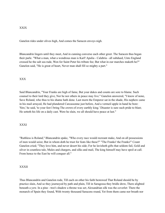#### XXIX

Ganelon rides under olives high, And comes the Saracen envoys nigh.

Blancandrin lingers until they meet, And in cunning converse each other greet. The Saracen thus began their parle. "What a man, what a wondrous man is Karl! Apulia - Calabria - all subdued, Unto England crossed he the salt sea rude, Won for Saint Peter his tribute fee; But what in our marches maketh he?" Ganelon said, "He is great of heart, Never man shall fill so mighty a part."

## XXX

Said Blancandrin, "Your Franks are high of fame, But your dukes and counts are sore to blame. Such counsel to their lord they give, Nor he nor others in peace may live." Ganelon answered, "I know of none, Save Roland, who thus to his shame hath done. Last morn the Emperor sat in the shade, His nephew came in his mail arrayed, He had plundered Carcassonne just before, And a vermeil apple in hand he bore: 'Sire,' he said, 'to your feet I bring The crown of every earthly king.' Disaster is sure such pride to blast; He setteth his life on a daily cast. Were he slain, we all should have peace at last."

## XXXI

"Ruthless is Roland," Blancandrin spake, "Who every race would recreant make, And on all possessions of men would seize; But in whom doth he trust for feats like these?" "The Franks! the Franks!" Count Ganelon cried; "They love him, and never desert his side; For he lavisheth gifts that seldom fail, Gold and silver in countless tale, Mules and chargers, and silks and mail, The king himself may have spoil at call. From hence to the East he will conquer all."

## XXXII

Thus Blancandrin and Ganelon rode, Till each on other his faith bestowed That Roland should be by practice slain, And so they journeyed by path and plain, Till in Saragossa they bridle drew, There alighted beneath a yew. In a pine - tree's shadow a throne was set; Alexandrian silk was the coverlet: There the monarch of Spain they found, With twenty thousand Saracens round, Yet from them came nor breath nor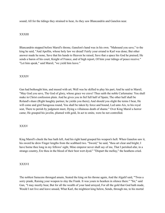sound; All for the tidings they strained to hear, As they saw Blancandrin and Ganelon near.

## XXXIII

Blancandrin stepped before Marsil's throne, Ganelon's hand was in his own. "Mahound you save," to the king he said, "And Apollin, whose holy law we dread! Fairly your errand to Karl was done; But other answer made he none, Save that his hands to Heaven he raised, Save that a space his God he praised; He sends a baron of his court, Knight of France, and of high report, Of him your tidings of peace receive." "Let him speak," said Marsil, "we yield him leave."

## XXXIV

Gan had bethought him, and mused with art; Well was he skilled to play his part; And he said to Marsil, "May God you save, The God of glory, whose grace we crave! Thus saith the noble Carlemaine: You shall make in Christ confession plain. And he gives you in fief full half of Spain; The other half shall be Roland's share (Right haughty partner, he yields you there); And should you slight the terms I bear, He will come and gird Saragossa round, You shall be taken by force and bound, Led unto Aix, to his royal seat, There to perish by judgment meet, Dying a villainous death of shame." Over King Marsil a horror came; He grasped his javelin, plumed with gold, In act to smite, were he not controlled.

## XXXV

King Marsil's cheek the hue hath left, And his right hand grasped his weapon's heft. When Ganelon saw it, his sword he drew Finger lengths from the scabbard two. "Sword," he said, "thou art clear and bright; I have borne thee long in my fellows' sight, Mine emperor never shall say of me, That I perished afar, in a strange country, Ere thou in the blood of their best wert dyed." "Dispart the mellay," the heathens cried.

## XXXVI

The noblest Saracens thronged amain, Seated the king on his throne again, And the Algalif said, "'Twas a sorry prank, Raising your weapon to slay the Frank. It was yours to hearken in silence there." "Sir," said Gan, "I may meetly bear, But for all the wealth of your land arrayed, For all the gold that God hath made, Would I not live and leave unsaid, What Karl, the mightiest king below, Sends, through me, to his mortal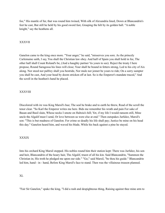foe," His mantle of fur, that was round him twined, With silk of Alexandria lined, Down at Blancandrin's feet he cast, But still he held by his good sword fast, Grasping the hilt by its golden ball. "A noble knight," say the heathens all.

## XXXVII

Ganelon came to the king once more. "Your anger," he said, "misserves you sore. As the princely Carlemaine saith, I say, You shall the Christian law obey. And half of Spain you shall hold in fee, The other half shall Count Roland's be, (And a haughty partner 'tis yours to see). Reject the treaty I here propose, Round Saragossa his lines will close; Your shall be bound in fetters strong, Led to his city of Aix along. Nor steed nor palfrey shall you bestride, Nor mule nor jennet be yours to ride; On a sorry sumpter you shall be cast, And your head by doom stricken off at last. So is the Emperor's mandate traced," And the scroll in the heathen's hand he placed.

## XXXVIII

Discolored with ire was King Marsil's hue; The seal he brake and to earth he threw, Read of the scroll the tenor clear. "So Karl the Emperor writes me here. Bids me remember his wrath and pain For sake of Basan and Basil slain, Whose necks I smote on Haltoia's hill; Yet, if my life I would ransom still, Mine uncle the Algalif must I send, Or love between us were else at end." Then outspakes Jurfalez, Marsil's son: "This is but madness of Ganelon. For crime so deadly his life shall pay; Justice be mine on his head this day." Ganelon heard him, and waved his blade, While his back against a pine he stayed.

## XXXIX

Into his orchard King Marsil stepped. His nobles round him their station kept: There was Jurfalez, his son and heir, Blancandrin of the hoary hair, The Algalif, truest of all his kin. Said Blancandrin, "Summon the Christian in; His troth he pledged me upon our side." "Go," said Marsil, "be thou his guide." Blancandrin led him, hand - in - hand, Before King Marsil's face to stand. Then was the villainous treason planned.

## XL

"Fair Sir Ganelon," spake the king, "I did a rash and despighteous thing, Raising against thee mine arm to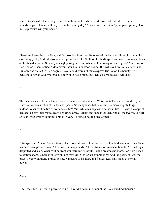smite. Richly will I the wrong requite. See these sables whose worth were told At full five hundred pounds of gold: Thine shall they be ere the coming day." "I may not," said Gan, "your grace gainsay. God in His pleasure will you repay."

## XLI

"Trust me I love thee, Sir Gan, and fain Would I hear thee discourse of Carlemaine. He is old, methinks, exceedingly old; And full two hundred years hath told; With toil his body spent and worn, So many blows on his buckler borne, So many a haughty king laid low, When will he weary of warring so?" "Such is not Carlemaine," Gan replied; "Man never knew him, nor stood beside, But will say how noble a lord is he, Princely and valiant in high degree. Never could words of mine express His honor, his bounty, his gentleness, 'Twas God who graced him with gifts so high. Ere I leave his vassalage I will die."

## XLII

The heathen said, "I marvel sore Of Carlemaine, so old and hoar, Who counts I ween two hundred years, Hath borne such strokes of blades and spears, So many lands hath overrun, So many mighty kings undone, When will he tire of war and strife?" "Not while his nephew breathes in life. Beneath the cope of heaven this day Such vassal leads not king's array. Gallant and sage is Olivier, And all the twelve, to Karl so dear, With twenty thousand Franks in van, He feareth not the face of man."

## XLIII

"Strange," said Marsil, "seems to me, Karl, so white with eld is he, Twice a hundred years, men say, Since his birth have passed away. All his wars in many lands, All the strokes of trenchant brands, All the kings despoiled and slain, When will he from war refrain?" "Not till Roland breathes no more, For from hence to eastern shore, Where is chief with him may vie? Olivier his comrades by, And the peers, of Karl the pride, Twenty thousand Franks beside, Vanguard of his host, and flower: Karl may mock at mortal power."

## XLIV

"I tell thee, Sir Gan, that a power is mine; Fairer did never in armor shine, Four hundred thousand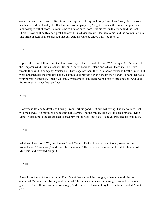cavaliers, With the Franks of Karl to measure spears." "Fling such folly," said Gan, "away; Sorely your heathen would rue the day. Proffer the Emperor ample prize, A sight to dazzle the Frankish eyes; Send him hostages full of score, So returns he to France once more. But his rear will tarry behind the host; There, I trow, will be Roland's post There will Sir Olivier remain. Hearken to me, and the counts lie slain; The pride of Karl shall be crushed that day, And his wars be ended with you for aye."

## XLV

"Speak, then, and tell me, Sir Ganelon, How may Roland to death be done?" "Through Cizra's pass will the Emperor wind, But his rear will linger in march behind; Roland and Olivier there shall be, With twenty thousand in company. Muster your battle against them then, A hundred thousand heathen men. Till worn and spent be the Frankish bands, Though your bravest perish beneath their hands. For another battle your powers be massed, Roland will sink, overcome at last. There were a feat of arms indeed, And your life from peril thenceforth be freed.

## XLVI

"For whoso Roland to death shall bring, From Karl his good right aim will wring, The marvellous host will melt away. No more shall he muster a like array, And the mighty land will in peace repose." King Marsil heard him to the close; Then kissed him on the neck, and bade His royal treasures be displayed.

## XLVII

What said they more? Why tell the rest? Said Marsil, "Fastest bound is best; Come, swear me here to Roland's fall." "Your will," said Gan, "be mine in all." He swore on the relics in the hilt Of his sword Murgleis, and crowned his guilt.

## XLVIII

A stool was there of ivory wrought. King Marsil bade a book be brought, Wherein was all the law contained Mahound and Termagaunt ordained. The Saracen hath sworn thereby, If Roland in the rear guard lie, With all his men - at - arms to go, And combat till the count lay low. Sir Gan repeated, "Be it so."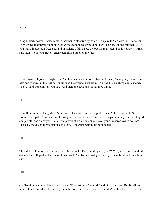## XLIX

King Marsil's foster - father came, A heathen, Valdabrun by name. He spake to Gan with laughter clear. "My sword, that never found its peer, A thousand pieces would not buy The riches in the hilt that lie, To you I give in guerdon free; Your aid in Roland's fall to see, Let but the rear - guard be his place." "I trust," said Gan, "to do you grace." Then each kissed other on the face.

L

Next broke with jocund laughter in, Another heathen, Climorin. To Gan he said, "Accept my helm, The best and trustiest in the realm, Conditioned that your aid we claim To bring the marchman unto shame." "Be it," said Ganelon, "as you list." And then on cheek and mouth they kissed.

## LI

Now Bramimonde, King Marsil's queen, To Ganelon came with gentle mien. "I love thee well, Sir Count," she spake, "For my lord the king and his nobles' sake. See these clasps for a lady's wrist, Of gold, and jacinth, and amethyst, That all the jewels of Rome outshine; Never your Emperor owned so fine; These by the queen to your spouse are sent." The gems within his boot he pent.

## LII

Then did the king on his treasurer call, "My gifts for Karl, are they ready all?" "Yea, sire, seven hundred camels' load Of gold and silver well bestowed, And twenty hostages thereby, The noblest underneath the sky."

#### LIII

On Ganelon's shoulder King Marsil leant. "Thou art sage," he said, "and of gallant bent; But by all thy holiest law deems dear, Let not thy thought from our purpose veer. Ten mules' burthen I give to thee Of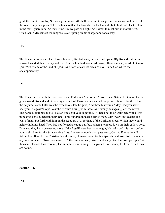gold, the finest of Araby; Nor ever year henceforth shall pass But it brings thee riches in equal mass Take the keys of my city gates, Take the treasure that Karl awaits Render them all; but oh, decide That Roland in the rear - guard bide; So may I find him by pass or height, As I swear to meet him in mortal fight." Cried Gan, "Meseemeth too long we stay," Sprang on his charger and rode away.

#### LIV

The Emperor homeward hath turned his face, To Gailne city he marched apace, (By Roland erst in ruins strown Deserted thence it lay and lone, Until a hundred years had flown). Here waits he, word of Gan to gain With tribute of the land of Spain; And here, at earliest break of day, Came Gan where the encampment lay.

#### LV

The Emperor rose with the day dawn clear, Failed not Matins and Mass to hear, Sate at his tent on the fair green sward, Roland and Olivier nigh their lord, Duke Naimes and all his peers of fame. Gan the felon, the perjured, came False was the treacherous tale he gave, And these his words, "May God you save! I bear you Saragossa's keys, Vast the treasure I bring with these, And twenty hostages; guard them well, The noble Marsil bids me tell Not on him shall your anger fall, If I fetch not the Algalif here withal; For mine eyes beheld, beneath their ken, Three hundred thousand armed men, With sword and casque and coat of mail, Put forth with him on the sea to sail, All for hate of the Christian creed, Which they would neither hold nor heed. They had not floated a league but four, When a tempest down on their galleys bore. Drowned they lie to be seen no more. If the Algalif were but living wight, He had stood this morn before your sight. Sire, for the Saracen king I say, Ere ever a month shall pass away, On into France he will follow free, Bend to our Christian law the knee, Homage swear for his Spanish land, And hold the realm at your command." "Now praise to God," the Emperor said, "And thanks, my Ganelon, well you sped," A thousand clarions then resound, The sumpter - mules are girt on ground, For France, for France the Franks are bound.

#### **Section III.**

LVI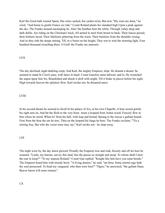Karl the Great hath wasted Spain, Her cities sacked, her castles ta'en; But now "My wars are done," he cried, "And home to gentle France we ride." Count Roland plants his standard high Upon a peak against the sky; The Franks around encamping lie. Alas! the heathen host the while, Through valley deep and dark defile, Are riding on the Christians' track, All armed in steel from breast to back; Their lances poised, their helmets laced, Their falchions glittering from the waist, Their bucklers from the shoulder swung, And so they ride the steeps among, Till, in a forest on the height, They rest to wait the morning light, Four hundred thousand crouching there. O God! the Franks are unaware.

## LVII

The day declined, night darkling crept, And Karl, the mighty Emperor, slept. He dreamt a dream: he seemed to stand In Cizra's pass, with lance in hand. Count Ganelon came athwart, and lo, He wrenched the aspen spear him fro, Brandished and shook it aloft with might, Till it brake in pieces before his sight; High towards heaven the splinters flew; Karl awoke not, he dreamed anew.

## LVIII

In his second dream he seemed to dwell In his palace of Aix, at his own Chapelle. A bear seized grimly his right arm on, And bit the flesh to the very bone. Anon a leopard from Arden wood, Fiercely flew at him where he stood. When lo! from his hall, with leap and bound, Sprang to the rescue a gallant hound. First from the bear the ear he tore, Then on the leopard his fangs he bore. The Franks exclaim, "'Tis a stirring fray, But who the victor none may say." Karl awoke not - he slept away.

## LIX

The night wore by, the day dawn glowed, Proudly the Emperor rose and rode, Keenly and oft his host he scanned. "Lords, my barons, survey this land, See the passes so straight and steep: To whom shall I trust the rear to keep?" "To my stepson Roland:" Count Gan replied. "Knight like him have you none beside." The Emperor heard him with moody brow. "A living demon," he said, "art thou; Some mortal rage hath thy soul possessed. To head my vanguard, who then were best?" "Ogier," he answered, "the gallant Dane, Braver baron will none remain,"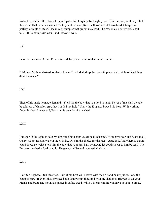Roland, when thus the choice he saw, Spake, full knightly, by knightly law: "Sir Stepsire, well may I hold thee dear, That thou hast named me to guard the rear; Karl shall lose not, if I take heed, Charger, or palfrey, or mule or steed, Hackney or sumpter that groom may lead; The reason else our swords shall tell." "It is sooth," said Gan, "and I know it well."

LXI

Fiercely once more Count Roland turned To speak the scorn that in him burned.

"Ha! deem'st thou, dastard, of dastard race, That I shall drop the glove in place, As in sight of Karl thou didst the mace?"

LXII

Then of his uncle he made demand: "Yield me the bow that you hold in hand; Never of me shall the tale be told, As of Ganelon erst, that it failed my hold." Sadly the Emperor bowed his head, With working finger his beard he spread, Tears in his own despite he shed.

LXIII

But soon Duke Naimes doth by him stand No better vassal in all his band. "You have seen and heard it all, O sire, Count Roland waxeth much in ire. On him the choice for the rear - guard fell, And where is baron could speed so well? Yield him the bow that your arm hath bent, And let good succor to him be lent." The Emperor reached it forth, and lo! He gave, and Roland received, the bow.

LXIV

"Fair Sir Nephew, I tell thee free. Half of my host will I leave with thee." "God be my judge," was the count's reply, "If ever I thus my race belie. But twenty thousand with me shall rest, Bravest of all your Franks and best; The mountain passes in safety tread, While I breathe in life you have nought to dread."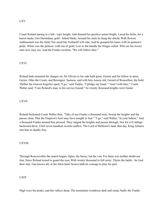## LXV

Count Roland sprang to a hill - top's height, And donned his peerless armor bright; Laced his helm, for a baron made; Girt Durindana, gold - hilted blade; Around his neck he hung the shield, With flowers emblazoned was the field; Nor steed but Veillantif will ride; And he grasped his lance with its pennon's pride. White was the pennon, with rim of gold; Low to the handle the fringes rolled. Who are his lovers men now may see; And the Franks exclaim, "We will follow thee."

## LXVI

Roland hath mounted his charger on; Sir Olivier to his side hath gone; Gerein and his fellow in arms, Gerier; Otho the Count, and Berengier, Samson, and with him Anseis old, Gerard of Roussillon, the bold. Thither the Gascon Engelier sped; "I go," said Turpin, "I pledge my head;" "And I with thee," Count Walter said; "I am Roland's man, to his service bound." So twenty thousand knights were found.

## LXVII

Roland beckoned Count Walter then. "Take of our Franks a thousand men; Sweep the heights and the passes clear, That the Emperor's host may have nought to fear." "I go," said Walter, "at your behest," And a thousand Franks around him pressed. They ranged the heights and passes through, Nor for evil tidings backward drew, Until seven hundred swords outflew. The Lord of Belferna's land, that day, King Almaris met him in deadly fray.

## LXVIII

Through Roncesvalles the march began; Ogier, the baron, led the van; For them was neither doubt nor fear, Since Roland rested to guard the rear, With twenty thousand in full array: Theirs the battle - be God their stay. Gan knows all; in his felon heart Scarce hath he courage to play his part.

## LXIX

High were the peaks, and the valleys deep, The mountains wondrous dark and steep; Sadly the Franks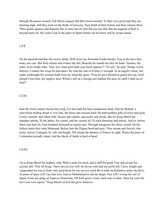through the passes wound, Full fifteen leagues did their tread resound. To their own great land they are drawing nigh, And they look on the fields of Gascony. They think of their homes and their manors there, Their gentle spouses and damsels fair. Is none but for pity the tear lets fall; But the anguish of Karl is beyond them all. His sister's son at the gates of Spain Smites on his heart, and he weeps amain.

## LXX

On the Spanish marches the twelve abide, With twice ten thousand Franks beside. Fear to die have they none, nor care: But Karl returns into France the fair; Beneath his mantle his face he hides. Naimes, the duke, at his bridle rides. "Say, sire, what grief doth your heart oppress?" "To ask," he said, "brings worse distress; I cannot but weep for heaviness. By Gan the ruin of France is wrought. In an angel's vision, last night, methought He wrested forth from my hand the spear: 'Twas he gave Roland to guard the rear. God! should I lose him, my nephew dear, Whom I left on a foreign soil behind, His peer on earth I shall never find!"

#### LXXI

Karl the Great cannot choose but weep, For him hath his host compassion deep; And for Roland, a marvellous boding dread. It was Gan, the felon, this treason bred; He hath heathen gifts of silver and gold, Costly raiment, and silken fold, Horses and camels, and mules and steeds. But lo! King Marsil the mandate speeds, To his dukes, his counts, and his vassals all, To each almasour and amiral. And so, before three suns had set, Four hundred thousand in muster met. Through Saragossa the tabors sound; On the loftiest turret they raise Mahound: Before him the Pagans bend and pray, Then mount and fiercely ride away, Across Cerdagna, by vale and height, Till stream the banners of France in sight, Where the peers of Carlemaine proudly stand, And the shock of battle is hard at hand.

#### LXXII

Up to King Marsil his nephew rode, With a mule for steed, and a staff for goad: Free and joyous his accents fell, "Fair Sir King, I have served you well. So let my toils and my perils tell. I have fought and vanquished for you in field. One good boon for my service yield, Be it mine on Roland to strike the blow; At point of lance will I lay him low; And so Mohammed to aid me deign, Free will I sweep the soil of Spain, From the gorge of Aspra to Dourestan, Till Karl grows weary such wars to plan. Then for your life have you won repose." King Marsil on him his glove bestows.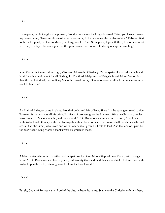## LXXIII

His nephew, while the glove he pressed, Proudly once more the king addressed. "Sire, you have crowned my dearest vow; Name me eleven of your barons now, In battle against the twelve to bide." Falsaron first to the call replied; Brother to Marsil, the king, was he; "Fair Sir nephew, I go with thee; In mortal combat we front, to - day, The rear - guard of the grand array. Foredoomed to die by our spears are they,"

## LXXIV

King Corsablis the next drew nigh, Miscreant Monarch of Barbary; Yet he spake like vassal staunch and bold Blench would he not for all God's gold. The third, Malprimis, of Brigal's breed, More fleet of foot than the fleetest steed, Before King Marsil he raised his cry, "On unto Roncesvalles I: In mine encounter shall Roland die."

## LXXV

An Emir of Balaguet came in place, Proud of body, and fair of face; Since first he sprang on steed to ride, To wear his harness was all his pride; For feats of prowess great laud he won; Were he Christian, nobler baron none. To Marsil came he, and cried aloud, "Unto Roncesvalles mine arm is vowed; May I meet with Roland and Olivier, Or the twelve together, their doom is near. The Franks shall perish in scathe and scorn; Karl the Great, who is old and worn, Weary shall grow his hosts to lead, And the land of Spain be for ever freed." King Marsil's thanks were his gracious meed.

## LXXVI

A Mauritanian Almasour (Breathed not in Spain such a felon Moor) Stepped unto Marsil, with braggart boast: "Unto Roncesvalles I lead my host, Full twenty thousand, with lance and shield. Let me meet with Roland upon the field, Lifelong tears for him Karl shall yield."

## LXXVII

Turgis, Count of Tortosa came. Lord of the city, he bears its name. Scathe to the Christian to him is best,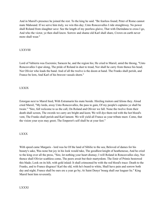And in Marsil's presence he joined the rest. To the king he said. "Be fearless found; Peter of Rome cannot mate Mahound. If we serve him truly, we win this day; Unto Roncesvalles I ride straightway. No power shall Roland from slaughter save: See the length of my peerless glaive, That with Durindana to cross I go, And who the victor, ye then shall know. Sorrow and shame old Karl shall share, Crown on earth never more shall wear."

## LXXVIII

Lord of Valtierra was Escremis; Saracen he, and the region his; He cried to Marsil, amid the throng, "Unto Roncesvalles I spur along, The pride of Roland in dust to tread, Nor shall he carry from thence his head; Nor Olivier who leads the band. And of all the twelve is the doom at hand. The Franks shall perish, and France be lorn, And Karl of his bravest vassals shorn."

## LXXIX

Estorgan next to Marsil hied, With Estramarin his mate beside. Hireling traitors and felons they. Aloud cried Marsil, "My lords, away Unto Roncesvalles, the pass to gain, Of my people's captains ye shall be twain." "Sire, full welcome to us the call, On Roland and Olivier we fall. None the twelve from their death shall screen, The swords we carry are bright and keen; We will dye them red with the hot blood's vent, The Franks shall perish and Karl lament. We will yield all France as your tribute meet. Come, that the vision your eyes may greet; The Emperor's self shall be at your feet."

## LXXX

With speed came Margaris - lord was he Of the land of Sibilie to the sea; Beloved of dames for his beauty's sake, Was none but joy in his look would take, The goodliest knight of heathenesse, And he cried to the king over all the press, "Sire, let nothing your heart dismay; I will Roland in Roncesvalles slay, Nor thence shall Olivier scathless come, The peers await but their martyrdom. The Emir of Primis bestowed this blade; Look on its hilt, with gold inlaid: It shall crimsoned be with the red blood's trace: Death to the Franks, and to France disgrace! Karl the old, with he's beard to white, Shall have pain and sorrow both day and night; France shall be ours ere a year go by; At Saint Denys' bourg shall our leaguer lie." King Marsil bent him reverently.

## LXXXI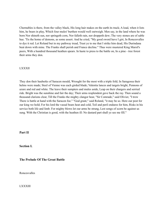Chernubles is there, from the valley black, His long hair makes on the earth its track; A load, when it lists him, he bears in play, Which four mules' burthen would well outweigh. Men say, in the land where he was born Nor shineth sun, nor springeth corn, Nor falleth rain, nor droppeth dew; The very stones are of sable hue. 'Tis the home of demons, as some assert. And he cried, "My good sword have I girt, In Roncesvalles to dye it red. Let Roland but in my pathway tread, Trust ye to me that I strike him dead, His Durindana beat down with mine. The Franks shall perish and France decline." Thus were mustered King Marsil's peers, With a hundred thousand heathen spears. In haste to press to the battle on, In a pine - tree forest their arms they don.

#### LXXXII

They don their hauberks of Saracen mould, Wrought for the most with a triple fold; In Saragossa their helms were made; Steel of Vienne was each girded blade; Valentia lances and targets bright, Pennons of azure and red and white. The leave their sumpters and mules aside, Leap on their chargers and serried ride. Bright was the sunshine and fair the day; Their arms resplendent gave back the ray. Then sound a thousand clarions clear, Till the Franks the mighty clangor hear, "Sir Comrade," said Olivier, "I trow There is battle at hand with the Saracen foe." "God grant," said Roland, "it may be so. Here our post for our king we hold; For his lord the vassal bears heat and cold, Toil and peril endures for him, Risks in his service both life and limb. For mighty blows let our arms be strung, Lest songs of scorn be against us sung. With the Christian is good, with the heathen ill: No dastard part shall ye see me fill."

**Part II**

**Section I.**

**The Prelude Of The Great Battle**

Roncesvalles

LXXXIII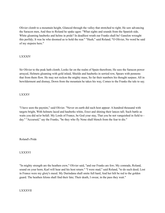Olivier clomb to a mountain height, Glanced through the valley that stretched to right; He saw advancing the Saracen men, And thus to Roland he spake agen: "What sights and sounds from the Spanish side, White gleaming hauberks and helms in pride? In deadliest wrath our Franks shall be! Ganelon wrought this perfidy; It was he who doomed us to hold the rear." "Hush," said Roland; "O Olivier, No word be said of my stepsire here."

## LXXXIV

Sir Olivier to the peak hath clomb, Looks far on the realm of Spain therefrom; He sees the Saracen power arrayed, Helmets gleaming with gold inlaid, Shields and hauberks in serried row, Spears with pennons that from them flow. He may not reckon the mighty mass, So far their numbers his thought surpass. All in bewilderment and dismay, Down from the mountain he takes his way, Comes to the Franks the tale to say.

## LXXXV

"I have seen the paynim," said Olivier. "Never on earth did such host appear: A hundred thousand with targets bright, With helmets laced and hauberks white, Erect and shining their lances tall; Such battle as waits you did ne'er befall. My Lords of France, be God your stay, That you be not vanquished in field to day." "Accursed," say the Franks, "be they who fly None shall blench from the fear to die."

Roland's Pride

## LXXXVI

"In mighty strength are the heathen crew," Olivier said, "and our Franks are few; My comrade, Roland, sound on your horn; Karl will hear and his host return." "I were mad," said Roland, "to do such deed; Lost in France were my glory's meed. My Durindana shall smite full hard, And her hilt be red to the golden guard. The heathen felons shall find their fate; Their death, I swear, in the pass they wait."

LXXXVII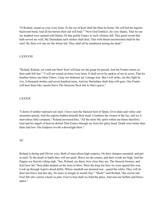"O Roland, sound on your ivory horn, To the ear of Karl shall the blast be borne: He will bid his legions backward bend, And all his barons their aid will lend." "Now God forbid it, for very shame, That for me my kindred were stained with blame, Or that gentle France to such vileness fell: This good sword that hath served me well, My Durindana such strokes shall deal, That with blood encrimsoned shall be the steel. By their evil star are the felons led; They shall all be numbered among the dead."

## LXXXVIII

"Roland, Roland, yet wind one blast! Karl will hear ere the gorge be passed, And the Franks return on their path full fast." "I will not sound on mine ivory horn: It shall never be spoken of me in scorn, That for heathen felons one blast I blew; I may not dishonor my Lineage true. But I will strike, ere this fight be o'er, A thousand strokes and seven hundred more, And my Durindana shall drip with gore. Our Franks will bear them like vassals brave The Saracens flock but to find a grave."

## LXXXIX

"I deem of neither reproach nor stain. I have seen the Saracen host of Spain, Over plain and valley and mountain spread, And the regions hidden beneath their tread. Countless the swarm of the foe, and we A marvellous little company." Roland answered him, "All the more My spirit within me burns therefore. God and his angels of heaven defend That France through me from her glory bend. Death were better than fame laid low. Our Emperor loveth a downright blow."

## XC

Roland is daring and Olivier wise, Both of marvellous high emprise; On their chargers mounted, and girt in mail, To the death in battle they will not quail. Brave are the counts, and their words are high, And the Pagans are fiercely riding nigh. "See, Roland, see them, how close they are, The Saracen foemen, and Karl how far! Thou didst disdain on thy horn to blow. Were the king but here we were spared this woe. Look up through Aspra's dread defile, Where standeth our doomed rear - guard the while; They will do their last brave feat this day, No more to mingle in mortal fray." "Hush!" said Roland, "the craven tale Foul fall who carries a heart so pale; Foot to foot shall we hold the place, And rain our buffets and blows apace."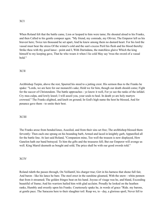When Roland felt that the battle came, Lion or leopard to him were tame; He shouted aloud to his Franks, and then Called to his gentle compeer agen. "My friend, my comrade, my Olivier, The Emperor left us his bravest here; Twice ten thousand he set apart, And he knew among them no dastard heart. For his lord the vassal must bear the stress Of the winter's cold and the sun's excess Peril his flesh and his blood thereby: Strike thou with thy good lance - point and I, With Durindana, the matchless glaive Which the king himself to my keeping gave, That he who wears it when I lie cold May say 'twas the sword of a vassal bold."

## XCII

Archbishop Turpin, above the rest, Spurred his steed to a jutting crest. His sermon thus to the Franks he spake: "Lords, we are here for our monarch's sake; Hold we for him, though our death should come; Fight for the succor of Christendom. The battle approaches - ye know it well, For ye see the ranks of the infidel. Cry mea culpa, and lowly kneel; I will assoil you, your souls to heal. In death ye are holy martyrs crowned." The Franks alighted, and knelt on ground; In God's high name the host he blessed, And for penance gave them - to smite their best.

## XCIII

The Franks arose from bended knee, Assoiled, and from their sins set free; The archbishop blessed them fervently: Then each one sprang on his bounding barb, Armed and laced in knightly garb, Apparelled all for the battle line. At last said Roland, "Companion mine, Too well the treason is now displayed, How Ganelon hath our band betrayed. To him the gifts and the treasures fell; But our Emperor will avenge us well. King Marsil deemeth us bought and sold; The price shall be with our good swords told."

## XCIV

Roland rideth the passes through, On Veillantif, his charger true; Girt in his harness that shone full fair, And baron - like his lance he bare. The steel erect in the sunshine gleamed, With the snow - white pennon that from it streamed; The golden fringes beat on his hand. Joyous of visage was he, and bland, Exceeding beautiful of frame; And his warriors hailed him with glad acclaim. Proudly he looked on the heathen ranks, Humbly and sweetly upon his Franks. Courteously spake he, in words of grace "Ride. my barons, at gentle pace. The Saracens here to their slaughter toil: Reap we, to - day, a glorious spoil, Never fell to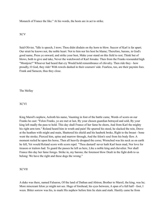Monarch of France the like." At his words, the hosts are in act to strike.

XCV

Said Olivier, "Idle is speech, I trow; Thou didst disdain on thy horn to blow. Succor of Karl is far apart; Our strait he knows not, the noble heart: Not to him nor his host be blame; Therefore, barons, in God's good name, Press ye onward, and strike your best, Make your stand on this field to rest; Think but of blows, both to give and take, Never the watchword of Karl forsake. Then from the Franks resounded high "Montjoie!" Whoever had heard that cry Would hold remembrance of chivalry. Then ride they - how proudly, O God, they ride! With rowels dashed in their coursers' side. Fearless, too, are their paynim foes. Frank and Saracen, thus they close.

The Mellay

XCVI

King Marsil's nephew, Aelroth his name, Vaunting in font of the battle came, Words of scorn on our Franks he cast: "Felon Franks, ye are met at last, By your chosen guardian betrayed and sold, By your king left madly the pass to hold. This day shall France of her fame be shorn, And from Karl the mighty his right arm torn." Roland heard him in wrath and pain! He spurred his steed, he slacked the rein, Drave at the heathen with might and main, Shattered his shield and his hauberk broke, Right to the breast - bone went the stroke; Pierced him, spine and marrow through, And the felon's soul from his body flew. A moment reeled he upon his horse, Then all heavily dropped the corse; Wrenched was his neck as on earth he fell, Yet would Roland scorn with scorn repel. "Thou dastard! never hath Karl been mad, Nor love for treason or traitors had. To guard the passes he left us here, Like a noble king and chevalier. Nor shall France this day her fame forego. Strike in, my barons; the foremost blow Dealt in the fight doth to us belong: We have the right and these dogs the wrong."

## XCVII

A duke was there, named Falsaron, Of the land of Dathan and Abiron; Brother to Marsil, the king, was he; More miscreant felon ye might not see. Huge of forehead, his eyes between, A span of a full half - foot, I ween. Bitter sorrow was his, to mark His nephew before him lie slain and stark. Hastily came he from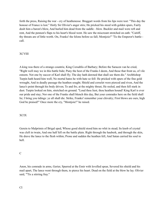forth the press, Raising the war - cry of heathenesse. Braggart words from his lips were tost: "This day the honour of France is lost." Hotly Sir Olivier's anger stirs; He pricked his steed with golden spurs, Fairly dealt him a baron's blow, And hurled him dead from the saddle - blow. Buckler and mail were reft and rent, And the pennon's flaps to his heart's blood went. He saw the miscreant stretched on eath: "Caitiff, thy threats are of little worth. On, Franks! the felons before us fall; Montjoie!" 'Tis the Emperor's battle call.

## XCVIII

A king was there of a strange countrie, King Corsablis of Barbary; Before the Saracen van he cried, "Right well may we in this battle bide; Puny the host of the Franks I deem, And those that front us, of vile esteem. Not one by succor of Karl shall fly; The day hath dawned that shall see them die." Archbishop Turpin hath heard him well; No mortal hates he with hate so fell: He pricked with spurs of the fine gold wrought, And in deadly passage the heathen sought; Shield and corselet were pierced and riven, And the lance's point through his body driven; To and fro, at the mighty thrust, He reeled, and then fell stark in dust. Turpin looked on him, stretched on ground. "Loud thou liest, thou heathen hound! King Karl is ever our pride and stay; Nor one of the Franks shall blench this day, But your comrades here on the field shall lie; I bring you tidings: ye all shall die. Strike, Franks! remember your chivalry; First blows are ours, high God be praised!" Once more the cry, "Montjoie!" he raised.

## XCIX

Gerein to Malprimis of Brigal sped, Whose good shield stood him no whit in stead; Its knob of crystal was cleft in twain, And one half fell on the battle plain. Right through the hauberk, and through the skin, He drave the lance to the flesh within; Prone and sudden the heathen fell, And Satan carried his soul to hell.

## C

Anon, his comrade in arms, Gerier, Spurred at the Emir with levelled spear, Severed his shield and his mail apart, The lance went through them, to pierce his heart. Dead on the field at the blow he lay. Olivier said, "'Tis a stirring fray."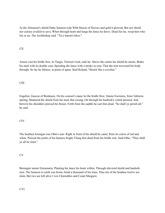At the Almasour's shield Duke Samson rode With blazon of flowers and gold it glowed; But nor shield nor cuirass availed to save, When through heart and lungs the lance he drave. Dead lies he, weep him who list or no. The Archbishop said. "Tis a baron's blow."

# CII

Anseis cast his bridle free; At Turgis, Tortosa's lord, rode he: Above the centre his shield he smote, Brake his mail with its double coat, Speeding the lance with a stroke so true, That the iron traversed his body through. So lay he lifeless, at point of spear. Said Roland, "Struck like a cavalier."

# CIII

Engelier, Gascon of Bordeaux, On his courser's mane let the bridle flow; Smote Escremis, from Valtierra sprung, Shattered the shield from his neck that swung; On through his hauberk's vental pressed, And betwixt his shoulders pierced his breast. Forth from the saddle he cast him dead. "So shall ye perish all," he said.

## CIV

The heathen Estorgan was Otho's aim: Right in front of his shield he came; Rent its colors of red and white, Pierced the joints of his harness bright, Flung him dead from his bridle rein. Said Otho, "Thus shall ye all be slain."

## CV

Berengier smote Estramarin, Planting his lance his heart within, Through shivered shield and hauberk torn. The Saracen to earth was borne Amid a thousand of his train. Thus ten of the heathen twelve are slain; But two are left alive I wis Chernubles and Count Margaris

CVI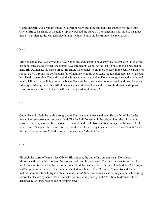Count Margaris was a valiant knight, Stalwart of body, and lithe and light: He spurred his steed unto Olivier, Brake his shield at the golden sphere, Pushed the lance till it touched his side; God of his grace made it harmless glide. Margaris rideth unhurt withal, Sounding his trumpet, his men to call.

## CVII

Mingled and marvellous grows the fray, And in Roland's heart is no dismay. He fought with lance while his good lance stood; Fifteen encounters have strained its wood. At the last it brake; then he grasped in hand His Durindana, his naked brand. He smote Chernubles' helm upon, Where, in the centre, carbuncles shone: Down through his coif and his fell of hair, Betwixt his eyes came the falchion bare, Down through his plated harness fine, Down through the Saracen's chest and chine, Down through the saddle with gold inlaid, Till sank in the living horse the blade, Severed the spine where no joint was found, And horse and rider lay dead on ground. "Caitiff, thou camest in evil hour; To save thee passeth Mohammed's power. Never to miscreants like to thee Shall come the guerdon of victory."

### CVIII

Count Roland rideth the battle through, With Durindana, to cleave and hew; Havoc fell of the foe he made, Saracen corse upon corse was laid, The field all flowed with the bright blood shed; Roland, to corselet and arm, was red Red his steed to the neck and flank. Nor is Olivier niggard of blows as frank; Nor to one of the peers be blame this day, For the Franks are fiery to smite and slay. "Well fought," said Turpin, "our barons true!" And he raised the war - cry, "Montjoie" anew.

## CIX

Through the storm of battle rides Olivier, His weapon, the butt of his broken spear, Down upon Malseron's shield he beat, Where flowers and gold emblazoned meet, Dashing his eyes from forth his head: Low at his feet were the brains bespread, And the heathen lies with seven hundred dead! Estorgus and Turgin next he slew, Till the shaft he wielded in splinters flew. "Comrade!" said Roland, "what makest thou? Is it time to fight with a truncheon now? Steel and iron such strife may claim; Where is thy sword, Hauteclere by name, With its crystal pommel and golden guard?" "Of time to draw it I stood debarred, Such stress was on me of smiting hard."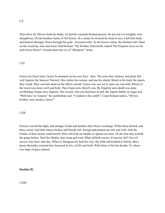Then drew Sir Olivier forth his blade, As had his comrade Roland prayed. He proved it in knightly wise straightway, On the heathen Justin of Val Ferree. At a stroke he severed his head in two, Cleft him body and harness through; Down through the gold - incrusted selle, To the horse's chine, the falchion fell: Dead on the sward lay man and steed. Said Roland, "My brother, henceforth, indeed The Emperor loves us for such brave blows!" Around them the cry of "Montjoie!" arose.

# CXI

Gerein his Sorel rides; Gerier Is mounted on his own Pass - deer: The reins they slacken, and prick full well Against the Saracen Timozel. One smites his cuirass, and one his shield, Break in his body the spears they wield; They cast him dead on the fallow mould. I know not, nor yet to mine ear was told, Which of the twain was more swift and bold. Then Espreveris, Borel's son, By Engelier unto death was done. Archbishop Turpin slew Siglorel, The wizard, who erst had been in hell, By Jupiter thither in magic led. "Well have we 'scaped," the archbishop said: "Crushed is the caitiff," Count Roland replies, "Olivier, brother, such strokes I prize!"

# **CXII**

Furious waxeth the fight, and strange; Frank and heathen their blows exchange; While these defend, and those assail, And their lances broken and bloody fail. Ensign and pennon are rent and cleft, And the Franks of their fairest youth bereft, Who will look on mother or spouse no more, Or the host that waiteth the gorge before. Karl the Mighty may weep and wail; What skilleth sorrow, if succour fail? An evil service was Gan's that day, When to Saragossa he bent his way, His faith and kindred to betray. But a doom thereafter awaited him Amerced in Aix, of life and limb, With thirty of his kin beside, To whom was hope of grace denied.

# **Section II.**

**CXIII**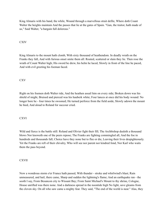King Almaris with his band, the while, Wound through a marvellous strait defile, Where doth Count Walter the heights maintain And the passes that lie at the gates of Spain. "Gan, the traitor, hath made of us," Said Walter, "a bargain full dolorous."

# CXIV

King Almaris to the mount hath clomb, With sixty thousand of heathendom. In deadly wrath on the Franks they fall, And with furious onset smite them all: Routed, scattered or slain they lie. Then rose the wrath of Count Walter high; His sword he drew, his helm he laced, Slowly in front of the line he paced, And with evil greeting his foeman faced.

## **CXV**

Right on his foemen doth Walter ride, And the heathen assail him on every side; Broken down was his shield of might, Bruised and pierced was his hauberk white; Four lances at once did his body wound: No longer bore he - four times he swooned; He turned perforce from the field aside, Slowly adown the mount he hied, And aloud to Roland for succour cried.

## **CXVI**

Wild and fierce is the battle still: Roland and Olivier fight their fill; The Archbishop dealeth a thousand blows Nor knoweth one of the peers repose; The Franks are fighting commingled all, And the foe in hundreds and thousands fall; Choice have they none but to flee or die, Leaving their lives despighteously. Yet the Franks are reft of their chivalry, Who will see nor parent nor kindred fond, Nor Karl who waits them the pass beyond.

## **CXVII**

Now a wondrous storm o'er France hath passed, With thunder - stroke and whirlwind's blast; Rain unmeasured, and hail, there came, Sharp and sudden the lightning's flame; And an earthquake ran - the sooth I say, From Besancon city to Wissant Bay; From Saint Michael's Mount to thy shrine, Cologne, House unrifted was there none. And a darkness spread in the noontide high No light, save gleams from the cloven sky. On all who saw came a mighty fear. They said, "The end of the world is near." Alas, they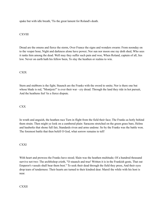spake but with idle breath, 'Tis the great lament for Roland's death.

## **CXVIII**

Dread are the omens and fierce the storm, Over France the signs and wonders swarm: From noonday on to the vesper hour, Night and darkness alone have power; Nor sun nor moon one ray doth shed, Who sees it ranks him among the dead. Well may they suffer such pain and woe, When Roland, captain of all, lies low. Never on earth hath his fellow been, To slay the heathen or realms to win.

## **CXIX**

Stern and stubborn is the fight; Staunch are the Franks with the sword to smite; Nor is there one but whose blade is red, "Montjoie!" is ever their war - cry dread. Through the land they ride in hot pursuit, And the heathens feel 'tis a fierce dispute.

## CXX

In wrath and anguish, the heathen race Turn in flight from the field their face; The Franks as hotly behind them strain. Then might ye look on a cumbered plain: Saracens stretched on the green grass bare, Helms and hauberks that shone full fair, Standards riven and arms undone: So by the Franks was the battle won. The foremost battle that then befell O God, what sorrow remains to tell!

CXXI

With heart and prowess the Franks have stood; Slain was the heathen multitude; Of a hundred thousand survive not two: The archbishop crieth, "O staunch and true! Written it is in the Frankish geste, That out Emperor's vassals shall bear them best." To seek their dead through the field they press, And their eyes drop tears of tenderness: Their hearts are turned to their kindred dear. Marsil the while with his host is near.

## **CXXII**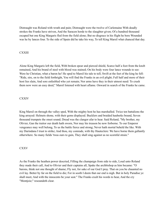Distraught was Roland with wrath and pain; Distraught were the twelve of Carlemaine With deadly strokes the Franks have striven, And the Saracen horde to the slaughter given; Of a hundred thousand escaped but one King Margaris fled from the field alone; But no disgrace in his flight he bore Wounded was he by lances four. To the side of Spain did he take his way, To tell King Marsil what chanced that day.

## **CXXIII**

Alone King Margaris left the field, With broken spear and pierced shield, Scarce half a foot from the knob remained, And his brand of steel with blood was stained; On his body were four lance wounds to see: Were he Christian, what a baron he! He sped to Marsil his tale to tell; Swift at the feet of the king he fell: "Ride, sire, on to the field forthright, You will find the Franks in an evil plight; Full half and more of their host lies slain, And sore enfeebled who yet remain; Nor arms have they in their utmost need: To crush them now were an easy deed," Marsil listened with heart aflame. Onward in search of the Franks he came.

# CXXIV

King Marsil on through the valley sped, With the mighty host he has marshalled. Twice ten battalions the king arrayed: Helmets shone, with their gems displayed. Bucklers and braided hauberks bound, Seven thousand trumpets the onset sound; Dread was the clangor afar to hear. Said Roland, "My brother, my Olivier, Gan the traitor our death hath sworn, Nor may his treason be now forborne. To our Emperor vengeance may well belong, To us the battle fierce and strong; Never hath mortal beheld the like. With my Durindana I trust to strike; And thou, my comrade, with thy Hauteclere: We have borne them gallantly otherwhere. So many fields 'twas ours to gain, They shall sing against us no scornful strain."

## CXXV

As the Franks the heathen power descried, Filling the champaign from side to side, Loud unto Roland they made their call, And to Olivier and their captains all, Spake the archbishop as him became: "O barons, think not one thought of shame; Fly not, for sake of our God I pray. That on you be chaunted no evil lay. Better by far on the field to die; For in sooth I deem that our end is nigh. But in holy Paradise ye shall meet, And with the innocents be your seat." The Franks exult his words to hear, And the cry "Montjoie;" resoundeth clear.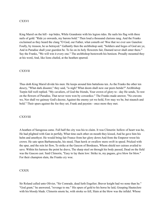### CXXVI

King Marsil on the hill - top bides, While Grandonie with his legion rides. He nails his flag with three nails of gold: "Ride ye onwards, my barons bold." Then loud a thousand clarions rang. And the Franks exclaimed as they heard the clang "O God, our Father, what cometh on! Woe that we ever saw Ganelon: Foully, by treason, he us betrayed." Gallantly then the archbishop said, "Soldiers and lieges of God are ye, And in Paradise shall your guerdon be. To lie on its holy flowerets fair, Dastard never shall enter there." Say the Franks, "We will win it every one." The archbishop bestoweth his benison. Proudly mounted they at his word, And, like lions chafed, at the heathen spurred.

### **CXXVII**

Thus doth King Marsil divide his men: He keeps around him battalions ten. As the Franks the other ten descry, "What dark disaster," they said, "is nigh? What doom shall now our peers betide?" Archbishop Turpin full well replied. "My cavaliers, of God the friends, Your crown of glory to - day He sends, To rest on the flowers of Paradise, That never were won by cowardice." The Franks made answer, "No cravens we, Nor shall we gainsay God's decree; Against the enemy yet we hold, Few may we be, but staunch and bold." Their spurs against the foe they set, Frank and paynim - once more they met.

#### CXXVIII

A heathen of Saragossa came. Full half the city was his to claim. It was Climorin: hollow of heart was he, He had plighted with Gan in perfidy, What time each other on mouth they kissed, And he gave him his helm and amethyst. He would bring fair France from her glory down And from the Emperor wrest his crown. He sate upon Barbamouche, his steed, Than hawk or swallow more swift in speed. Pricked with the spur, and the rein let flow, To strike at the Gascon of Bordeaux, Whom shield nor cuirass availed to save. Within his harness the point he drave, The sharp steel on through his body passed, Dead on the field was the Gascon cast. Said Climorin, "Easy to lay them low: Strike in, my pagans, give blow for blow." For their champion slain, the Franks cry woe.

#### CXXIX

Sir Roland called unto Olivier, "Sir Comrade, dead lieth Engelier; Braver knight had we none than he." "God grant," he answered, "revenge to me." His spurs of gold to his horse he laid, Grasping Hauteclere with his bloody blade. Climorin smote he, with stroke so fell, Slain at the blow was the infidel. Whose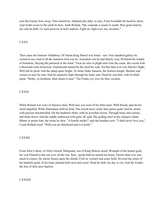soul the Enemy bore away. Then turned he, Alphaien,the duke, to slay; From Escababi the head he shore, And Arabs seven to the earth he bore. Saith Roland, "My comrade is much in wrath; Won great laud by my side he hath; Us such prowess to Karl endears. Fight on, fight ever, my cavaliers."

# CXXX

Then came the Saracen Valdabrun, Of whom King Marsil was foster - son. Four hundred galleys he owned at sea, And of all the mariners lord was he. Jerusalem erst he had falsely won, Profaned the temple of Solomon, Slaying the patriarch at the fount. 'Twas he who in plight unto Gan the count, His sword with a thousond coins bestowed. Gramimond named he the steed he rode, Swifter than ever was falcon's flight; Well did he prick with the sharp spurs bright, To strike Duke Samson, the fearless knight. Buckler and cuirass at once he rent, And his pennon's flaps through his body sent; Dead he cast him, with levelled spear. "Strike, ye heathens; their doom is near." The Franks cry woe for their cavalier.

## **CXXXI**

When Roland was ware of Samson slain, Well may you weet of his bitter pain. With bloody spur he his steed impelled, While Durindana aloft he held, The sword more costly than purest gold; And he smote, with passion uncontrolled. On the heathen's helm, with its jewelled crown, Through head, and cuirass, and body down, And the saddle embossed with gold, till sank The griding steel in the charger's flank; Blame or praise him, the twain he slew. "A fearful stroke!" said the heathen crew. "I shall never love you," Count Roland cried. "With you are falsehood and evil pride."

## CXXXII

From Afric's shore, of Afric's brood, Malquiant, son of King Malcus stood; Wrought of the beaten gold, his vest Flamed to the sun over all the rest. Saut - perdu hath he named his horse, Fleeter than ever was steed in course; He smote Anseis upon the shield, Cleft its vermeil and azure field, Severed the joints of his hauberk good, In his body planted both steel and wood. Dead he lieth, his day is o'er, And the Franks the loss of their peer deplore.

## **CXXXIII**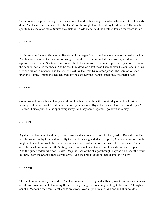Turpin rideth the press among; Never such priest the Mass had sung, Nor who hath such feats of his body done. "God send thee'" he said, "His Malison! For the knight thou slewest my heart is sore." He sets the spur to his steed once more, Smites the shield in Toledo made, And the heathen low on the sward is laid.

## CXXXIV

Forth came the Saracen Grandonie, Bestriding his charger Marmorie; He was son unto Cappadocia's king, And his steed was fleeter than bird on wing. He let the rein on his neck decline, And spurred him hard against Count Gerein, Shattered the vermeil shield he bore, And his armor of proof all open tore; In went the pennon, so fierce the shock, And he cast him, dead, on a loft rock; Then he slew his comrade, in arms, Gerier, Guy of Saint Anton and Berengier. Next lay the great Duke Astor prone. The Lord of Valence upon the Rhone. Among the heathen great joy he cast. Say the Franks, lamenting, "We perish fast."

## CXXXV

Count Roland graspeth his bloody sword: Well hath he heard how the Franks deplored; His heart is burning within his breast. "God's malediction upon thee rest! Right dearly shalt thou this blood repay." His war - horse springs to the spur straightway, And they come together - go down who may.

## **CXXXVI**

A gallant captain was Grandonie, Great in arms and in chivalry. Never, till then, had he Roland seen, But well he knew him by form and mien, By the stately bearing and glance of pride, And a fear was on him he might not hide. Fain would he fly, but it skills not here; Roland smote him with stroke so sheer, That it cleft the nasal his helm beneath, Slitting nostril and mouth and teeth, Cleft his body and mail of plate, And the gilded saddle whereon he sate, Deep the back of the charger through: Beyond all succor the twain he slew. From the Spanish ranks a wail arose, And the Franks exult in their champion's blows.

## CXXXVII

The battle is wondrous yet, and dire, And the Franks are cleaving in deadly ire; Wrists and ribs and chines afresh, And vestures, in to the living flesh; On the green grass streaming the bright blood ran, "O mighty country, Mahound thee ban! For thy sons are strong over might of man." And one and all unto Marsil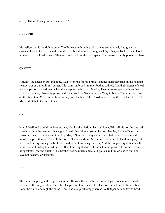cried, "Hither, O king, to our succor ride."

## **CXXXVIII**

Marvellous yet is the fight around, The Franks are thrusting with spears embrowned; And great the carnage there to ken, Slain and wounded and bleeding men, Flung, each by other, on back or face. Hold no more can the heathen race. They turn and fly from the field apace; The Franks as hotly pursue in chase.

## **CXXXIX**

Knightly the deeds by Roland done, Respite or rest for his Franks is none; Hard they ride on the heathen rear, At trot or gallop in full career. With crimson blood are their bodies stained, And their brands of steel are snapped or strained; And when the weapons their hands forsake, Then unto trumpet and horn they take. Serried they charge, in power and pride; And the Saracens cry - "May ill betide The hour we came on this fatal track!" So on our host do they turn the back, The Christians cleaving them as they fled, Till to Marsil stretcheth the line of dead.

CXL

King Marsil looks on his legions strown, He bids the clarion blast be blown, With all his host he onward speeds: Abime the heathen his vanguard leads. No felon worse in the host than he, Black of hue as a shrivelled pea; He believes not in Holy Mary's Son; Full many an evil deed hath done. Treason and murder he prizeth more Than all the gold of Galicia's shore; Men never knew him to laugh nor jest, But brave and daring among the best Endeared to the felon king therefor; And the dragon flag of his race he bore. The archbishop loathed him - full well he might, And as he saw him he yearned to smite, To himself he speaketh, low and quick, "This heathen seems much a heretic; I go to slay him, or else to die, For I love not dastards or dastardy."

## CXLI

The archbishop began the fight once more; He rode the steed he had won of yore, When in Denmark Grossaille the king he slew. Fleet the charger, and fair to view: His feet were small and fashioned fine, Long the flank, and high the chine, Chest and croup full amply spread, With taper ear and tawny head,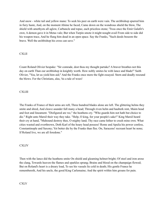And snow - white tail and yellow mane: To seek his peer on earth were vain. The archbishop spurred him in fiery haste, And, on the moment Abime he faced, Came down on the wondrous shield the blow, The shield with amethysts all aglow, Carbuncle and topaz, each priceless stone; 'Twas once the Emir Galafir's own; A demon gave it in Metas vale; But when Turpin smote it might nought avail From side to side did his weapon trace, And he flung him dead in an open space. Say the Franks, "Such deeds beseem the brave. Well the archbishop his cross can save."

# CXLII

Count Roland Olivier bespake: "Sir comrade, dost thou my thought partake? A braver breathes not this day on earth Than our archbishop in knightly worth. How nobly smites he with lance and blade!" Saith Olivier, "Yea, let us yield him aid;" And the Franks once more the fight essayed. Stern and deadly resound the blows. For the Christians, alas, 'tis a tale of woes!

# **CXLIII**

The Franks of France of their arms are reft, Three hundred blades alone are left. The glittering helms they smite and shred, And cleave asunder full many a head; Through riven helm and hauberk rent, Maim head and foot and lineament. "Disfigured are we," the heathens cry. "Who guards him not hath but choice to die." Right unto Marsil their way they take. "Help, O king, for your people's sake!" King Marsil heard their cry at hand, "Mahound destroy thee, O mighty land; Thy race came hither to crush mine own. What cities wasted and overthrown, Doth Karl of the hoary head possess! Rome and Apulia his power confess, Constantinople and Saxony; Yet better die by the Franks than flee. On, Saracens! recreant heart be none; If Roland live, we are all foredone."

**CXLIV** 

Then with the lance did the heathens smite On shield and gleaming helmet bright; Of steel and iron arose the clang, Towards heaven the flames and sparkles sprang; Brains and blood on the champaign flowed; But on Roland's heart is a dreary load, To see his vassals lie cold in death; His gentle France he remembereth, And his uncle, the good King Carlemaine; And the spirit within him groans for pain.

# **CXLV**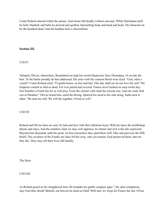Count Roland entered within the prease, And smote full deadly without surcease; While Durindana aloft he held, Hauberk and helm he pierced and quelled, Intrenching body and hand and head. The Saracens lie by the hundred dead, And the heathen host is discomfited.

# **Section III.**

**CXLVI** 

Valiantly Olivier, otherwhere, Brandished on high his sword Hauteclere Save Durindana, of swords the best. To the battle proudly he him addressed. His arms with the crimson blood were dyed. "God, what a vassal!" Count Roland cried. "O gentle baron, so true and leal, This day shall set on our love the seal! The Emperor cometh to find us dead, For ever parted and severed. France never looked on such woful day; Nor breathes a Frank but for us will pray, From the cloister cells shall the orisons rise, And our souls find rest in Paradise." Olivier heard him, amid the throng, Spurred his steed to his side along. Saith each to other, "Be near me still; We will die together, if God so will."

**CXLVII** 

Roland and Olivier then are seen To lash and hew with their falchions keen; With his lance the archbishop thrusts and slays, And the numbers slain we may well appraise; In charter and writ is the tale expressed Beyond four thousand, saith the geste. In four encounters they sped them well: Dire and grievous the fifth befell. The cavaliers of the Franks are slain All but sixty, who yet remain; God preserved them, that ere they die, They may sell their lives full hardily.

The Horn

**CXLVIII** 

As Roland gazed on his slaughtered men, He bespake his gentle compeer agen: "Ah, dear companion, may God thee shield! Behold, our bravest lie dead on field! Well may we weep for France the fair, Of her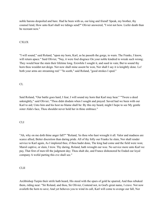noble barons despoiled and bare. Had he been with us, our king and friend! Speak, my brother, thy counsel lend, How unto Karl shall we tidings send?" Olivier answered, "I wist not how. Liefer death than be recreant now."

# CXLIX

"I will sound," said Roland, "upon my horn, Karl, as he passeth the gorge, to warn. The Franks, I know, will return apace." Said Olivier, "Nay, it were foul disgrace On your noble kindred to wreak such wrong; They would bear the stain their lifetime long. Erewhile I sought it, and sued in vain; But to sound thy horn thou wouldst not deign. Not now shall mine assent be won, Nor shall I say it is knightly done. Lo! both your arms are streaming red." "In sooth," said Roland, "good strokes I sped."

## CL

Said Roland, "Our battle goes hard, I fear; I will sound my horn that Karl may hear." "'Twere a deed unknightly," said Olivier; "Thou didst disdain when I sought and prayed: Saved had we been with our Karl to aid; Unto him and his host no blame shall be: By this my beard, might I hope to see My gentle sister Alda's face, Thou shouldst never hold her in thine embrace."

## CLI

"Ah, why on me doth thine anger fall?" "Roland, 'tis thou who hast wrought it all. Valor and madness are scarce allied, Better discretion than daring pride. All of thy folly our Franks lie slain, Nor shall render service to Karl again, As I implored thee, if thou hadst done, The king had come and the field were won; Marsil captive, or slain, I trow. Thy daring, Roland, hath wrought our woe. No service more unto Karl we pay, That first of men till the judgment day; Thou shalt die, and France dishonored be Ended our loyal company A woful parting this eve shall see."

## CLII

Archbishop Turpin their strife hath heard, His steed with the spurs of gold he spurred, And thus rebuked them, riding near: "Sir Roland, and thou, Sir Olivier, Contend not, in God's great name, I crave. Not now availeth the horn to save; And yet behoves you to wind its call, Karl will come to avenge our fall, Nor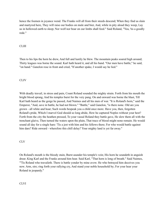hence the foemen in joyance wend. The Franks will all from their steeds descend; When they find us slain and martyred here, They will raise our bodies on mule and bier, And, while in pity aloud they weep, Lay us in hollowed earth to sleep; Nor wolf nor boar on our limbs shall feed." Said Roland, "Yea, 'tis a goodly rede."

# CLIII

Then to his lips the horn he drew, And full and lustily he blew. The mountain peaks soared high around; Thirty leagues was borne the sound. Karl hath heard it, and all his band. "Our men have battle," he said, "on hand." Ganelon rose in front and cried, "If another spake, I would say he lied."

## **CLIV**

With deadly travail, in stress and pain, Count Roland sounded the mighty strain. Forth from his mouth the bright blood sprang, And his temples burst for the very pang. On and onward was borne the blast, Till Karl hath heard as the gorge he passed, And Naimes and all his men of war. "It is Roland's horn," said the Emperor, "And, save in battle, he had not blown." "Battle," said Ganelon, "is there none. Old are you grown - all white and hoar; Such words bespeak you a child once more. Have you, then, forgotten Roland's pride, Which I marvel God should so long abide, How he captured Noples without your hest? Forth from the city the heathen pressed, To your vassal Roland they battle gave, He slew them all with the trenchant glaive, Then turned the waters upon the plain, That trace of blood might none remain. He would sound all day for a single hare: 'Tis a jest with him and his fellows there; For who would battle against him dare? Ride onward - wherefore this chill delay? Your mighty land is yet far away."

#### CLV

On Roland's mouth is the bloody stain, Burst asunder his temple's vein; His horn he soundeth in anguish drear; King Karl and the Franks around him hear. Said Karl, "That horn is long of breath." Said Naimes, "'Tis Roland who travaileth. There is battle yonder by mine avow. He who betrayed him deceives you now. Arm, sire; ring forth your rallying cry, And stand your noble household by; For your hear your Roland in jeopardy."

# CLVI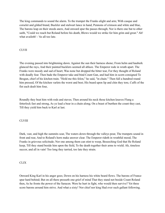The king commands to sound the alarm. To the trumpet the Franks alight and arm; With casque and corselet and gilded brand, Buckler and stalwart lance in hand, Pennons of crimson and white and blue, The barons leap on their steeds anew, And onward spur the passes through; Nor is there one but to other saith, "Could we reach but Roland before his death, Blows would we strike for him grim and great." Ah! what availeth! - 'tis all too late.

## **CLVII**

The evening passed into brightening dawn. Against the sun their harness shone; From helm and hauberk glanced the rays, And their painted bucklers seemed all ablaze. The Emperor rode in wrath apart. The Franks were moody and sad of heart; Was none but dropped the bitter tear, For they thought of Roland with deadly fear. Then bade the Emperor take and bind Count Gan, and had him in scorn consigned To Besgun, chief of his kitchen train. "Hold me this felon," he said, "in chain." Then full a hundred round him pressed, Of the kitchen varlets the worst and best; His beard upon lip and chin they tore, Cuffs of the fist each dealt him four,

Roundly they beat him with rods and staves; Then around his neck those kitchen knaves Flung a fetterlock fast and strong, As ye lead a bear in a chain along; On a beast of burthen the count they cast, Till they yield him back to Karl at last.

## **CLVIII**

Dark, vast, and high the summits soar, The waters down through the valleys pour, The trumpets sound in front and rear, And to Roland's horn make answer clear. The Emperor rideth in wrathful mood, The Franks in grievous solicitude; Nor one among them can stint to weep, Beseeching God that He Roland keep, Till they stand beside him upon the field, To the death together their arms to wield. Ah, timeless succor, and all in vain! Too long they tarried, too late they strain.

#### CLIX

Onward King Karl in his anger goes; Down on his harness his white beard flows. The barons of France spur hard behind; But on all there presseth one grief of mind That they stand not beside Count Roland then, As he fronts the power of the Saracen. Were he hurt in fight, who would then survive? Yet three score barons around him strive. And what a sixty! Nor chief nor king Had ever such gallant following.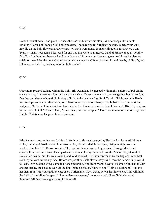#### CLX

Roland looketh to hill and plain, He sees the lines of his warriors slain, And he weeps like a noble cavalier, "Barons of France, God hold you dear, And take you to Paradise's bowers, Where your souls may lie on the holy flowers; Braver vassals on earth were none, So many kingdoms for Karl ye won; Years a - many your ranks I led, And for end like this were ye nurtured. Land of France, thou art soothly fair; To - day thou liest bereaved and bare; It was all for me your lives you gave, And I was helpless to shield or save. May the great God save you who cannot lie. Olivier, brother, I stand thee by; I die of grief, if I 'scape unslain: In, brother, in to the fight again."

#### CLXI

Once more pressed Roland within the fight, His Durindana he grasped with might; Faldron of Pui did he cleave in two, And twenty - four of their bravest slew. Never was man on such vengeance bound; And, as flee the roe - deer the hound, So in face of Roland the heathen flee. Saith Turpin, "Right well this liketh me. Such prowess a cavalier befits, Who harness wears, and on charger sits; In battle shall he be strong and great, Or I prize him not at four deniers' rate; Let him else be monk in a cloister cell, His daily prayers for our souls to tell." Cries Roland, "Smite them, and do not spare." Down once more on the foe they bear, But the Christian ranks grow thinned and rare.

## CLXII

Who knoweth ransom is none for him, Maketh in battle resistance grim; The Franks like wrathful lions strike, But King Marsil beareth him baron - like; He bestrideth his charger, Gaignon hight, And he pricketh him hard, Sir Beuve to smite, The Lord of Beaune and of Dijon town, Through shield and cuirass, he struck him down: Dead past succor of man he lay. Ivon and Ivor did Marsil slay; Gerard of Roussillon beside. Not far was Roland, and loud he cried, "Be thou forever in God's disgrace, Who hast slain my fellows before my face, Before we part thou shalt blows essay, And learn the name of my sword to - day. Down, at the word, came the trenchant brand, And from Marsil severed his good right hand: With another stroke, the head he won Of the fair - haired Jurfalez, Marsil's son. "Help us, Mahound!" say the heathen train, "May our gods avenge us on Carlemaine! Such daring felons he hither sent, Who will hold the field till their lives be spent." "Let us flee and save us," cry one and all, Unto flight a hundred thousand fall, Nor can aught the fugitives recall.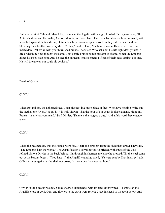## CLXIII

But what availeth? though Marsil fly, His uncle, the Algalif, still is nigh; Lord of Carthagena is he, Of Alferna's shore and Garmalie, And of Ethiopia, accursed land: The black battalions at his command, With nostrils huge and flattened ears, Outnumber fifty thousand spears; And on they ride in haste and ire, Shouting their heathen war - cry dire. "At last," said Roland, "the hour is come, Here receive we our martyrdom; Yet strike with your burnished brands - accursed Who sells not his life right dearly first; In life or death be your thought the same, That gentle France be not brought to shame. When the Emperor hither his steps hath bent, And he sees the Saracens' chastisement, Fifteen of their dead against our one, He will breathe on our souls his benison."

Death of Olivier

**CLXIV** 

When Roland saw the abhorred race, Than blackest ink more black in face, Who have nothing white but the teeth alone, "Now," he said, "it is truly shown, That the hour of our death is close at hand. Fight, my Franks, 'tis my last command." Said Olivier, "Shame is the laggard's due," And at his word they engage anew.

#### CLXV

When the heathen saw that the Franks were few, Heart and strength from the sight they drew; They said, "The Emperor hath the worse." The Algalif sat on a sorrel horse; He pricked with spurs of the gold refined, Smote Olivier in the back behind. On through his harness the lance he pressed, Till the steel came out at the baron's breast. "Thou hast it!" the Algalif, vaunting, cried, "Ye were sent by Karl in an evil tide. Of his wrongs against us he shall not boast; In thee alone I avenge our host."

## **CLXVI**

Olivier felt the deadly wound, Yet he grasped Hauteclere, with its steel embrowned; He smote on the Algalif's crest of gold, Gem and flowers to the earth were rolled; Clave his head to the teeth below, And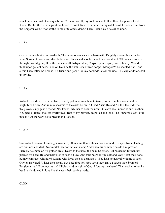struck him dead with the single blow. "All evil, caitiff, thy soul pursue. Full well our Emperor's loss I Knew; But for thee - thou goest not hence to boast To wife or dame on thy natal coast, Of one denier from the Emperor won, Or of scathe to me or to others done." Then Roland's aid he called upon.

## CLXVII

Olivier knoweth him hurt to death; The more to vengeance he hasteneth; Knightly as ever his arms he bore, Staves of lances and shields he shore; Sides and shoulders and hands and feet, Whose eyes soever the sight would greet, How the Saracens all disfigured lie, Corpse upon corpse, each other by, Would think upon gallant deeds; nor yet Doth he the war - cry of Karl forget "Montjoie!" he shouted, shrill and clear; Then called he Roland, his friend and peer, "Sir, my comrade, anear me ride; This day of dolor shall us divide."

## **CLXVIII**

Roland looked Olivier in the face, Ghastly paleness was there to trace; Forth from his wound did the bright blood flow, And rain in showers to the earth below. "O God!" said Roland, "is this the end Of all thy prowess, my gentle friend? Nor know I whither to bear me now: On earth shall never be such as thou. Ah, gentle France, thou art overthrown, Reft of thy bravest, despoiled and lone; The Emperor's loss is full indeed!" At the word he fainted upon his steed.

## CLXIX

See Roland there on his charger swooned, Olivier smitten with his death wound. His eyes from bleeding are dimmed and dark, Nor mortal, near or far, can mark; And when his comrade beside him pressed, Fiercely he smote on his golden crest; Down to the nasal the helm he shred, But passed no further, nor pierced his head. Roland marvelled at such a blow, And thus bespake him soft and low: "Hast thou done it, may comrade, wittingly? Roland who loves thee so dear, am I, Thou hast no quarrel with me to seek?" Olivier answered, "I hear thee speak, But I see thee not. God seeth thee. Have I struck thee, brother? Forgive it me." "I am not hurt, O Olivier; And in sight of God, I forgive thee here." Then each to other his head has laid, And in love like this was their parting made.

# CLXX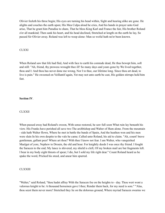Olivier feeleth his throe begin; His eyes are turning his head within, Sight and hearing alike are gone. He alights and couches the earth upon; His Mea Culpa aloud he cries, And his hands in prayer unto God arise, That he grant him Paradise to share, That he bless King Karl and France the fair, His brother Roland o'er all mankind; Then sank his heart, and his head declined, Stretched at length on the earth he lay, So passed Sir Olivier away. Roland was left to weep alone: Man so woful hath ne'er been known.

#### **CLXXI**

When Roland saw that life had fled, And with face to earth his comrade dead, He thus bewept him, soft and still: "Ah, friend, thy prowess wrought thee ill! So many days and years gone by We lived together, thou and I: And thou has never done me wrong, Nor I to thee, our lifetime long. Since thou art dead, to live is pain." He swooned on Veillantif again, Yet may not unto earth be cast, His golden stirrups held him fast.

## **Section IV**.

#### **CLXXII**

When passed away had Roland's swoon, With sense restored, he saw full soon What ruin lay beneath his view. His Franks have perished all save two The archbishop and Walter of Hum alone. From the mountain - side hath Walter flown, Where he met in battle the bands of Spain, And the heathen won and his men were slain In his own despite to the vale he came; Called unto Roland, his aid to claim. "Ah, count! brave gentleman, gallant peer! Where art thou? With thee I know not fear. I am Walter, who vanquished Maelgut of yore, Nephew to Drouin, the old and hoar. For knightly deeds I was once thy friend. I fought the Saracen to the end; My lance is shivered, my shield is cleft, Of my broken mail are but fragments left. I bear in my body eight thrusts of spear; I die, but I sold my life right dear." Count Roland heard as he spake the word, Pricked his steed, and anear him spurred.

### **CLXXIII**

"Walter," said Roland, "thou hadst affray With the Saracen foe on the heights to - day. Thou wert wont a valorous knight to be: A thousand horsemen gave I thee; Render them back, for my need is sore." "Alas, thou seest them never more! Stretched they lie on the dolorous ground, Where myriad Saracen swarms we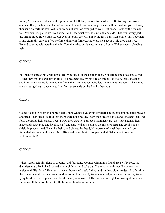found, Armenians, Turks, and the giant brood Of Balisa, famous for hardihood, Bestriding their Arab coursers fleet, Such host in battle 'twas ours to meet; Nor vaunting thence shall the heathen go, Full sixty thousand on earth lie low. With our brands of steel we avenged us well, But every Frank by the foeman fell. My hauberk plates are riven wide, And I bear such wounds in flank and side, That from every part the bright blood flows, And feebler ever my body grows. I am dying fast, I am well aware: Thy liegeman I, and claim thy care. If I fled perforce, thou wilt forgive, And yield me succor while thou dost live." Roland sweated with wrath and pain, Tore the skirts of his vest in twain, Bound Walter's every bleeding vein.

## CLXXIV

In Roland's sorrow his wrath arose, Hotly he struck at the heathen foes, Nor left he one of a score alive; Walter slew six, the archbishop five. The heathens cry, "What a felon three! Look to it, lords, that they shall not flee. Dastard is he who confronts them not; Craven, who lets them depart this spot." Their cries and shoutings begin once more, And from every side on the Franks they pour.

## CLXXV

Count Roland in sooth is a noble peer; Count Walter, a valorous cavalier; The archbishop, in battle proved and tried, Each struck as if knight there were none beside. From their steeds a thousand Saracens leap, Yet forty thousand their saddles keep; I trow they dare not approach them near, But they hurl against them lance and spear, Pike and javelin, shaft and dart. Walter is slain as the missiles part; The archbishop's shield in pieces shred, Riven his helm, and pierced his head; His corselet of steel they rent and tore, Wounded his body with lances four; His steed beneath him dropped withal: What woe to see the archbishop fall!

## CLXXVI

When Turpin felt him flung to ground, And four lance wounds within him found, He swiftly rose, the dauntless man, To Roland looked, and nigh him ran. Spake but, "I am not overthrown Brave warrior yields with life alone." He drew Almace's burnished steel, A thousand ruthless blows to deal. In after time, the Emperor said He found four hundred round him spread, Some wounded, others cleft in twain; Some lying headless on the plain. So Giles the saint, who saw it, tells, For whom High God wrought miracles. In Laon cell the scroll he wrote; He little weets who knows it not.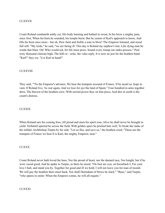## CLXXVII

Count Roland combateth nobly yet, His body burning and bathed in sweat; In his brow a mighty pain, since first, When his horn he sounded, his temple burst; But he yearns of Karl's approach to know, And lifts his horn once more - but oh, How faint and feeble a note to blow! The Emperor listened, and stood full still. "My lords," he said, "we are faring ill. This day is Roland my nephew's last; Like dying man he winds that blast. On! Who would aid, for life must press. Sound every trump our ranks possess." Peal sixty thousand clarions high, The hills re - echo, the vales reply. It is now no jest for the heathen band. "Karl!" they cry, "it is Karl at hand!"

### **CLXXVIII**

They said, "'Tis the Emperor's advance, We hear the trumpets resound of France. If he assail us, hope in vain; If Roland live, 'tis war again, And we lose for aye the land of Spain." Four hundred in arms together drew, The bravest of the heathen crew; With serried power they on him press, And dire in sooth is the count's distress.

#### CLXXIX

When Roland saw his coming foes, All proud and stern his spirit rose; Alive he shall never be brought to yield: Veillantif spurred he across the field, With golden spurs he pricked him well, To break the ranks of the infidel; Archbishop Turpin by his side. "Let us flee, and save us," the heathen cried; "These are the trumpets of France we hear It is Karl, the mighty Emperor, near."

#### CLXXX

Count Roland never hath loved the base, Nor the proud of heart, nor the dastard race, Nor knight, but if he were vassal good, And he spake to Turpin, as there he stood; "On foot are you, on horseback I; For your love I halt, and stand you by. Together for good and ill we hold; I will not leave you for man of mould. We will pay the heathen their onset back, Nor shall Durindana of blows be slack." "Base," said Turpin, "who spares to smite: When the Emperor comes, he will all requite."

CLXXXI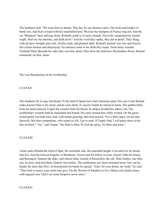The heathens said, "We were born to shame. This day for our disaster came: Our lords and leaders in battle lost, And Karl at hand with his marshalled host; We hear the trumpets of France ring out, And the cry 'Montjoie!' their rallying shout. Roland's pride is of such a height, Not to be vanquished by mortal wight; Hurl we our missiles, and hold aloof." And the word they spake, they put in proof, They flung, with all their strength and craft, Javelin, barb, and plumed shaft. Roland's buckler was torn and frayed, His cuirass broken and disarrayed, Yet entrance none to his flesh they made. From thirty wounds Veillantif bled, Beneath his rider they cast him, dead; Then from the field have the heathen flown: Roland remaineth, on foot, alone.

The Last Benediction of the Archbishop

CLXXXII

The heathens fly in rage and dread; To the land of Spain have their footsteps sped; Nor can Count Roland make pursuit Slain is his steed, and he rests afoot; To succor Turpin he turned in haste, The golden helm from his head unlaced, Ungirt the corselet from his breast, In stripes divided his silken vest; The archbishop's wounds hath he staunched and bound, His arms around him softly wound; On the green sward gently his body laid, And, with tender greeting, thus him prayed: "For a little space, let me take farewell; Our dear companions, who round us fell, I go to seek; if I haply find, I will place them at thy feet reclined." "Go," said Turpin; "the field is thine To God the glory, 'tis thine and mine."

## **CLXXXIII**

Alone seeks Roland the field of fight, He searcheth vale, the searcheth height. Ivon and Ivor he found, laid low, And the Gascon Engelier of Bordeaux, Gerein and his fellow in arms, Gerier; Otho he found, and Berengier; Samson the duke, and Anseis bold, Gerard of Roussillon, the old. Their bodies, one after one, he bore, And laid them Turpin's feet before. The archbishop saw them stretched arow, Nor can he hinder the tears that flow; In benediction his hands he spread: "Alas! for your doom, my lords," he said, "That God in mercy your souls may give, On the flowers of Paradise to live; Mines own death comes, with anguish sore That I see mine Emperor never more."

## CLXXXIV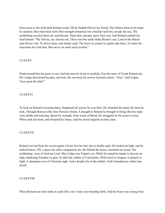Once more to the field doth Roland wend, Till he findeth Olivier his friend; The lifeless form to his heart he strained, Bore him back with what strength remained, On a buckler laid him, beside the rest, The archbishop assoiled them all, and blessed. Their dole and pity anew find vent, And Roland maketh his fond lament: "My Olivier, my chosen one, Thou wert the noble Duke Renier's son, Lord of the March unto Rivier vale. To shiver lance and shatter mail, The brave in council to guide and cheer, To smite the miscreant foe with fear, Was never on earth such cavalier."

## **CLXXXV**

Dead around him his peers to see, And the man he loved so tenderly, Fast the tears of Count Roland ran, His visage discolored became, and wan, He swooned for sorrow beyond control. "Alas," said Turpin, "how great thy dole!"

## CLXXXVI

To look on Roland swooning there, Surpassed all sorrow he ever bare; He stretched his hand, the horn he took, Through Roncesvalles thee flowed a brook, A draught to Roland he thought to bring; But his steps were feeble and tottering, Spent his strength, from waste of blood, He struggled on for scarce a rood, When sank his heart, and drooped his frame, And his moral anguish on him came.

## CLXXXVII

Roland revived from his swoon again; On his feet he rose, but in deadly pain; He looked on high, and he looked below, Till, a space his other companions fro, He beheld the baron, stretched on sward, The archbishop, vicar of God our Lord. Mea Culpa was Turpin's cry, While he raised his hands to heaven on high, Imploring Paradise to gain. So died the soldier of Carlemaine, With word or weapon, to preach or fight, A champion ever of Christian right, And a deadly foe of the infidel. God's benediction within him dwell!

#### CLXXXVIII

When Roland saw him stark on earth (His very vitals were bursting forth, And his brain was oozing from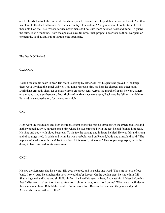out his head), He took the fair white hands outspread, Crossed and clasped them upon his breast, And thus his plaint to the dead addressed, So did his country's law ordain: "Ah, gentleman of noble strain, I trust thee unto God the True, Whose service never man shall do With more devoted heart and mind: To guard the faith, to win mankind, From the apostles' days till now, Such prophet never rose as thou. Nor pain or torment thy soul await, But of Paradise the open gate."

The Death Of Roland

## **CLXXXIX**

Roland feeleth his death is near, His brain is oozing by either ear. For his peers he prayed - God keep them well; Invoked the angel Gabriel. That none reproach him, his horn he clasped; His other hand Durindana grasped; Then, far as quarrel from crossbow sent, Across the march of Spain he went, Where, on a mound, two trees between, Four flights of marble steps were seen; Backward he fell, on the field to lie; And he swooned anon, for the end was nigh.

CXC

High were the mountains and high the trees, Bright shone the marble terraces; On the green grass Roland hath swooned away. A Saracen spied him where he lay: Stretched with the rest he had feigned him dead, His face and body with blood bespread. To his feet he sprang, and in haste he hied, He was fair and strong and of courage tried, In pride and wrath he was overbold, And on Roland, body and arms, laid hold. "The nephew of Karl is overthrown! To Araby bear I this sword, mine own." He stooped to grasp it, but as he drew, Roland returned to his sense anew.

CXCI

He saw the Saracen seize his sword; His eyes he oped, and he spake one word "Thou art not one of our band, I trow," And he clutched the horn he would ne'er forego; On the golden crest he smote him full, Shattering steel and bone and skull, Forth from his head his eyes he beat, And cast him lifeless before his feet. "Miscreant, makest thou then so free, As, right or wrong, to lay hold on me? Who hears it will deem thee a madman born; Behold the mouth of mine ivory horn Broken for thee, and the gems and gold Around its rim to earth are rolled."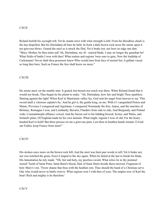### **CXCII**

Roland feeleth his eyesight reft, Yet he stands erect with what strength is left; From his bloodless cheek is the hue dispelled, But his Durindana all bare he held. In front a dark brown rock arose He smote upon it ten grievous blows. Grated the steel as it struck the flint, Yet it brake not, nor bore its edge one dint. "Mary, Mother, be thou mine aid! Ah, Durindana, my ill - starred blade, I may no longer thy guardian be! What fields of battle I won with thee! What realms and regions 'twas ours to gain, Now the lordship of Carlemaine! Never shalt thou possessor know Who would turn from face of mortal foe; A gallant vassal so long thee bore, Such as France the free shall know no more."

### **CXCIII**

He smote anew on the marble stair. It grated, but breach nor notch was there. When Roland found that it would not break, Thus began he his plaint to make. "Ah, Durindana, how fair and bright Thou sparklest, flaming against the light! When Karl in Maurienne valley lay, God sent his angel from heaven to say 'This sword shall a valorous captain's be,' And he girt it, the gentle king, on me. With it I vanquished Poitou and Maine, Provence I conquered and Aquitaine; I conquered Normandy the free, Anjou, and the marches of Brittany; Romagna I won, and Lombardy, Bavaria, Flanders from side to side, And Burgundy, and Poland wide; Constantinople affiance vowed, And the Saxon soil to his bidding bowed; Scotia, and Wales, and Ireland's plain, Of England made he his own domain. What might, regions I won of old, For the hoary headed Karl to hold! But there presses on me a grievous pain, Lest thou in heathen hands remain. O God our Father, keep France from stain!"

#### CXCIV

His strokes once more on the brown rock fell, And the steel was bent past words to tell; Yet it brake not, nor was notched the grain, Erect it leaped to the sky again. When he failed at the last to break his blade, His lamentation he inly made. "Oh, fair and holy, my peerless sword, What relics lie in thy pommel stored! Tooth of Saint Peter, Saint Basil's blood, Hair of Saint Denis beside them strewed, Fragment of holy Mary's vest. 'Twere shame that thou with the heathen rest; Thee should the hand of a Christian serve One who would never in battle swerve. What regions won I with thee of yore, The empire now of Karl the hoar! Rich and mighty is he therefore.'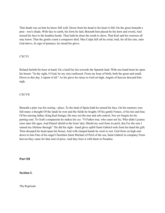That death was on him he knew full well; Down from his head to his heart it fell; On the grass beneath a pine - tree's shade, With face to earth, his form he laid, Beneath him placed he his horn and sword, And turned his face to the heathen horde. Thus hath he done the sooth to show, That Karl and his warriors all may know, That the gentle count a conqueror died. Mea Culpa full oft he cried; And, for all his sins, unto God above, In sign of penance, he raised his glove.

**CXCVI** 

Roland feeleth his hour at hand; On a knoll he lies towards the Spanish land. With one hand beats he upon his breast: "In thy sight, O God, be my sins confessed. From my hour of birth, both the great and small, Down to this day, I repent of all." As his glove he raises to God on high, Angels of heaven descend him nigh.

## **CXCVII**

Beneath a pine was his resting - place, To the land of Spain hath he turned his face, On his memory rose full many a thought Of the lands he won and the fields he fought; Of his gentle France, of his kin and line; Of his nursing father, King Karl benign; He may not the tear and sob control, Nor yet forgets he his parting soul. To God's compassion he makes his cry: "O Father true, who canst not lie, Who didst Lazarus raise unto life agen, And Daniel shield in the lions' den; Shield my soul from its peril, due For the sins I sinned my lifetime through." He did his right - hand glove uplift Saint Gabriel took from his hand the gift; Then drooped his head upon his breast, And with clasped hands he went to rest. God from on high sent down to him One of his angel Cherubim Saint Michael of Peril of the sea, Saint Gabriel in company From heaven they came for that soul of price, And they bore it with them to Paradise.

**Part III**

**Section I.**

The Reprisals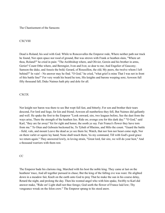The Chastisement of the Saracens

#### **CXCVIII**

Dead is Roland; his soul with God. While to Roncesvalles the Emperor rode, Where neither path nor track he found, Nor open space nor rood of ground, But was strewn with Frank or heathen slain, "Where art thou, Roland?" he cried in pain: "The Archbishop where, and Olivier, Gerein and his brother in arms, Gerier? Count Otho where, and Berengier, Ivon and Ivor, so dear to me; And Engelier of Gascony; Samson the duke, and Anseis the bold; Gerard, of Roussillon, the old; My peers, the twelve whom I left behind?" In vain! - No answer may he find. "O God," he cried, "what grief is mine That I was not in front of this battle line!" For very wrath his beard he tore, His knights and barons weeping sore; Aswoon full fifty thousand fall; Duke Naimes hath pity and dole for all.

## **CXCIX**

Nor knight nor baron was there to see But wept full fast, and bitterly; For son and brother their tears descend, For lord and liege, for kin and friend; Aswoon all numberless they fell, But Naimes did gallantly and well. He spake the first to the Emperor "Look onward, sire, two leagues before, See the dust from the ways arise, There the strength of the heathen lies. Ride on; avenge you for this dark day." "O God," said Karl, "they are far away! Yet for right and honor, the sooth ye say. Fair France's flower they have torn from me." To Otun and Gebouin beckoned he, To Tybalt of Rheims, and Milo the count. "Guard the battle - field, vale, and mount Leave the dead as ye see them lie; Watch, that nor lion nor beast come nigh, Nor on them varlet or squire lay hand; None shall touch them, 'tis my command, Till with God's good grace we return again." They answered lowly, in loving strain, "Great lord, fair sire, we will do your hest," And a thousand warriors with them rest.

### CC

The Emperor bade his clarions ring, Marched with his host the noble king. They came at last on the heathens' trace, And all together pursued in chase; But the king of the falling eve was ware: He alighted down in a meadow fair, Knelt on the earth unto God to pray That he make the sun in his course delay, Retard the night, and prolong the day. Then his wonted angel who with him spake, Swiftly to Karl did answer make, "Ride on! Light shall not thee forego; God seeth the flower of France laid low; Thy vengeance wreak on the felon crew." The Emperor sprang to his steed anew.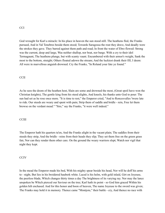#### **CCI**

God wrought for Karl a miracle: In his place in heaven the sun stood still. The heathens fled, the Franks pursued, And in Val Tenebres beside them stood; Towards Saragossa the rout they drave, And deadly were the strokes they gave. They barred against them path and road; In front the water of Ebro flowed: Strong was the current, deep and large, Was neither shallop, nor boat, nor barge. With a cry to their idol Termagaunt, The heathens plunge, but with scanty vaunt. Encumbered with their armor's weight, Sank the most to the bottom, straight; Others floated adown the stream; And the luckiest drank their fill, I deem: All were in marvellous anguish drowned. Cry the Franks, "In Roland your fate ye found."

#### **CCII**

As he sees the doom of the heathen host, Slain are some and drowned the most, (Great spoil have won the Christian knights), The gentle king from his steed alights, And kneels, his thanks unto God to pour: The sun had set as he rose once more. "It is time to rest," the Emperor cried, "And to Roncesvalles 'twere late to ride. Our steeds are weary and spent with pain; Strip them of saddle and bridle - rein, Free let them browse on the verdant mead." "Sire," say the Franks, "it were well indeed."

#### **CCIII**

The Emperor hath his quarters ta'en, And the Franks alight in the vacant plain; The saddles from their steeds they strip, And the bridle - reins from their heads they slip; They set them free on the green grass fair, Nor can they render them other care. On the ground the weary warriors slept; Watch nor vigil that night they kept.

#### **CCIV**

In the mead the Emperor made his bed, With his mighty spear beside his head, Nor will he doff his arms to - night, But lies in his broidered hauberk white. Laced is his helm, with gold inlaid, Girt on Joyeuse, the peerless blade, Which changes thirty times a day The brightness of its varying ray. Nor may the lance unspoken be Which pierced our Saviour on the tree; Karl hath its point - so God him graced Within his golden hilt enchased. And for this honor and boon of heaven, The name Joyeuse to the sword was given; The Franks may hold it in memory. Thence came "Montjoie," their battle - cry, And thence no race with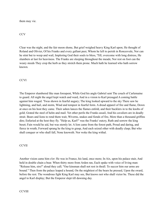them may vie.

**CCV** 

Clear was the night, and the fair moon shone, But grief weighed heavy King Karl upon; He thought of Roland and Olivier, Of his Franks and every gallant peer, Whom he left to perish in Roncesvale, Nor can he stint but to weep and wail, Imploring God their souls to bless, 'Till, overcome with long distress, He slumbers at last for heaviness. The Franks are sleeping throughout the meads; Nor rest on foot can the weary steeds They crop the herb as they stretch them prone. Much hath he learned who hath sorrow known.

**CCVI** 

The Emperor slumbered like man forespent, While God his angle Gabriel sent The couch of Carlemaine to guard. All night the angel kept watch and ward, And in a vision to Karl presaged A coming battle against him waged. 'Twas shown in fearful augury; The king looked upward to the sky There saw he lightning, and hail, and storm, Wind and tempest in fearful form. A dread apparel of fire and flame, Down at once on his host they came. Their ashen lances the flames enfold, and their bucklers in to the knobs of gold; Grated the steel of helm and mail. Yet other perils the Franks assail, And his cavaliers are in deadly strait. Bears and lions to rend them wait, Wiverns, snakes and fiends of fire, More than a thousand griffins dire; Enfuried at the host they fly. "Help us, Karl!" was the Franks' outcry, Ruth and sorrow the king beset; Fain would he aid, but was sternly let. A lion came from the forest path, Proud and daring, and fierce in wrath; Forward sprang he the king to grasp, And each seized other with deadly clasp; But who shall conquer or who shall fall, None knoweth. Nor woke the king withal.

**CCVII** 

Another vision came him o'er: He was in France, his land, once more; In Aix, upon his palace stair, And held in double chain a bear. When thirty more from Arden ran, Each spake with voice of living man: "Release him, sire!" aloud they call; "Our kinsman shall not rest in thrall. To succor him our arms are bound." Then from the palace leaped a hound, On the mightiest of the bears he pressed, Upon the sward, before the rest. The wondrous fight King Karl may see, But knows not who shall victor be. These did the angel to Karl display; But the Emperor slept till dawning day.

**CCVIII**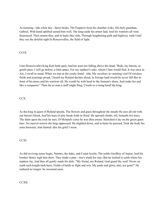At morning - tide when day - dawn broke, The Emperor from his slumber woke. His holy guardian, Gabriel, With hand uplifted sained him well. The king aside his armor laid, And his warriors all were disarrayed. Then mount they, and in haste they ride, Through lengthening path and highway wide Until they see the doleful sight In Roncesvalles, the field of fight.

# **CCIX**

Unto Roncesvalles King Karl hath sped, And his tears are falling above the dead; "Ride, my barons, at gentle pace, I will go before, a little space, For my nephew's sake, whom I fain would find. It was once in Aix, I recall to mind, When we met at the yearly festal - tide, My cavaliers in vaunting vied Of stricken fields and joustings proud, I heard my Roland declare aloud, In foreign land would he never fall But in front of his peers and his warriors all, He would lie with head to the foeman's shore, And make his end like a conqueror." Then far as man a staff might fling, Clomb to a rising knoll the king.

# **CCX**

As the king in quest of Roland speeds, The flowers and grass throughout the meads He sees all red with our baron's blood, And his tears of pity break forth in flood. He upward climbs, till, beneath two trees, The dints upon the rock he sees. Of Roland's corse he was then aware; Stretched it lay on the green grass bare. No marvel sorrow the king oppressed; He alighted down, and in haste he pressed, Took the body his arms between, And fainted: dire his grief I ween.

# **CCXI**

As did reviving sense begin, Naimes, the duke, and Count Acelin, The noble Geoffrey of Anjou, And his brother Henry nigh him drew. They made a pine - tree's trunk his stay; But he looked to earth where his nephew lay, And thus all gently made his dole: "My friend, my Roland, God guard thy soul! Never on earth such knight hath been, Fields of battle to fight and win. My pride and glory, alas, are gone!" He endured no longer: he swooned anon.

# **CCXII**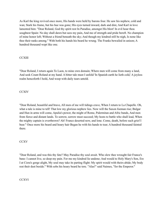As Karl the king revived once more, His hands were held by barons four. He saw his nephew, cold and wan; Stark his frame, but his hue was gone; His eyes turned inward, dark and dim; And Karl in love lamented him: "Dear Roland, God thy spirit rest In Paradise, amongst His blest! In evil hour thou soughtest Spain: No day shall dawn but sees my pain, And me of strength and pride bereft. No champion of mine honor left; Without a friend beneath the sky; And though my kindred still be nigh, Is none like thee their ranks among." With both his hands his beard he wrung. The Franks bewailed in unison; A hundred thousand wept like one.

# **CCXIII**

"Dear Roland, I return again To Laon, to mine own domain; Where men will come from many a land, And seek Count Roland at my hand. A bitter tale must I unfold 'In Spanish earth he lieth cold,' A joyless realm henceforth I hold, And weep with daily tears untold.

# **CCXIV**

"Dear Roland, beautiful and brave, All men of me will tidings crave, When I return to La Chapelle. Oh, what a tale is mine to tell! That low my glorious nephew lies. Now will the Saxon foeman rise; Bulgar and Hun in arms will come, Apulia's power, the might of Rome, Palermitan and Afric bands, And men from fierce and distant lands. To sorrow, sorrow must succeed; My hosts to battle who shall lead, When the mighty captain is overthrown? Ah! France deserted now, and lone. Come, death, before such grief I bear." Once more his beard and hoary hair Began he with his hands to tear; A hundred thousand fainted there.

# **CCXV**

"Dear Roland, and was this thy fate? May Paradise thy soul await. Who slew thee wrought fair France's bane: I cannot live, so deep my pain. For me my kindred lie undone; And would to Holy Mary's Son, Ere I at Cizra's gorge alight, My soul may take its parting flight: My spirit would with theirs abide; My body rest their dust beside." With sobs his hoary beard he tore. "Alas!" said Naimes, "for the Emperor."

**CCXVI**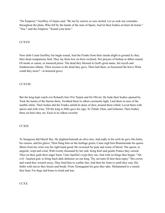"Sir Emperor," Geoffrey of Anjou said, "Be not by sorrow so sore misled. Let us seek our comrades throughout the plain, Who fell by the hands of the men of Spain; And let their bodies on biers be borne." "Yea," said the Emperor. "Sound your horn."

## **CCXVII**

Now doth Count Geoffrey his bugle sound, And the Franks from their steeds alight to ground As they their dead companions find, They lay them low on biers reclined; Nor prayers of bishop or abbot ceased, Of monk or canon, or tonsured priest. The dead they blessed in God's great name, Set myrrh and frankincense aflame. Their incense to the dead they gave, Then laid them, as beseemed the brave What could they more? - in honored grave.

## **CCXVIII**

But the king kept watch o'er Roland's bier O'er Turpin and Sir Olivier. He bade their bodies opened be, Took the hearts of the barons three, Swathed them in silken cerements light, Laid them in urns of the marble white. Their bodies did the Franks enfold In skins of deer, around them rolled; Laved them with spices and with wine, Till the king to Milo gave his sign, To Tybalt, Otun, and Gebouin; Their bodies three on biers they set, Each in its silken coverlet.

## **CCXIX**

To Saragossa did Marsil flee. He alighted beneath an olive tree, And sadly to his serfs he gave His helm, his cuirass, and his glaive, Then flung him on the herbage green; Came nigh him Bramimonde his queen. Shorn from his wrist was his right hand good; He swooned for pain and waste of blood. The queen, in anguish, wept and cried, With twenty thousand by her side. King Karl and gentle France they cursed; Then on their gods their anger burst. Unto Apollin's crypt they ran, And with revilings thus began: "Ah, evil - hearted god, to bring Such dark dishonor on our king. Thy servants ill dost thou repay." His crown and wand they wrench away, They bind him to a pillar fast, And then his form to earth they cast, His limbs with staves they bruise and break: From Termagaunt his gem they take: Mohammed to a trench they bear, For dogs and boars to tread and tear.

## **CCXX**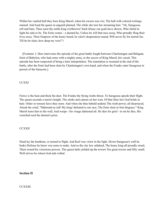Within his vaulted hall they bore King Marsil, when his swoon was o'er; The hall with colored writings stained. And loud the queen in anguish plained, The while she tore her streaming hair, "Ah, Saragossa, reft and bare, Thou seest thy noble king o'erthrown! Such felony our gods have shown, Who failed in fight his aids to be. The Emir comes - a dastard he, Unless he will that race essay, Who proudly fling their lives away. Their Emperor of the hoary beard, In valor's desperation reared, Will never fly for mortal foe. Till he be slain, how deep my woe!"1

 [Footnote 1: Here intervenes the episode of the great battle fought between Charlemagne and Baligant, Emir of Babylon, who had come with a mighty army, to the succor of King Marsil, his vassal. This episode has been suspected of being a later interpolation. The translation is resumed at the end of the battle, after the Emir had been slain by Charlemagne's own hand, and when the Franks enter Saragossa in pursuit of the Saracens.]

## **CCXXI**

Fierce is the heat and thick the dust. The Franks the flying Arabs thrust. To Saragossa speeds their flight. The queen ascends a turret's height. The clerks and canons on her wait, Of that false law God holds in hate. Order or tonsure have they none. And when she thus beheld undone The Arab power, all disarrayed, Aloud she cried, "Mahound us aid! My king! defeated is our race, The Emir slain in foul disgrace." King Marsil turns him to the wall, And weeps - his visage darkened all. He dies for grief - in sin he dies, His wretched soul the demon's prize.

## **CCXXII**

Dead lay the heathens, or turned to flight, And Karl was victor in the fight. Down Saragossa's wall he brake Defense he knew was none to make. And as the city law subdued, The hoary king all proudly stood, There rested his victorious powers. The queen hath yielded up the towers Ten great towers and fifty small. Well strives he whom God aids withal.

# **Section II**

# **CCXXIII**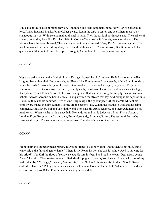Day passed; the shades of night drew on, And moon and stars refulgent shone. Now Karl is Saragossa's lord, And a thousand Franks, by the king's award, Roam the city, to search and see Where mosque or synagogue may be. With axe and mallet of steel in hand, They let nor idol nor image stand; The shrines of sorcery down they hew, For Karl hath faith in God the True, And will Him righteous service do. The bishops have the water blessed, The heathen to the font are pressed. If any Karl's command gainsay, He has him hanged or burned straightway. So a hundred thousand to Christ are won; But Bramimonde the queen alone Shall unto France be captive brought, And in love be her conversion wrought.

### **CCXXIV**

Night passed, and came the daylight hours, Karl garrisoned the city's towers; He left a thousand valiant knights, To sentinel their Emperor's rights. Then all his Franks ascend their steeds, While Bramimonde in bonds he leads, To work her good his sole intent. And so, in pride and strength, they went; They passed Narbonne in gallant show, And reached by stately walls, Bordeaux. There, on Saint Severin's alter high, Karl placed Count Roland's horn to lie, With mangons filled, and coins of gold, As pilgrims to this hour behold. Across Garonne he bent his way, In ships within the stream that lay, And brought his nephew unto Blaye, With his noble comrade, Olivier, And Turpin sage, the gallant peer. Of the marble white their tombs were made; In Saint Roman's shrine are the baron's laid, Whom the Franks to God and his saints commend. And Karl by hill and vale doth wend, Nor stays till Aix is reached, and there Alighteth on his marble stair. When sits he in his palace hall, He sends around to his judges all, From Frisia, Saxony, Loraine, From Burgundy and Allemaine, From Normandy, Brittaine, Poitou: The realm of France he searches through, The summons every sagest man. The plea of Ganelon then began.

#### **CCXXV**

From Spain the Emperor made retreat, To Aix in France, his kingly seat; And thither, to his halls, there came, Alda, the fair and gentle dame. "Where is my Roland, sire," she cried, "Who vowed to take me for his bride?" O'er Karl the flood of sorrow swept; He tore his beard and loud he wept. "Dear sister, gentle friend," he said, "Thou seekest one who lieth dead: I plight to thee my son instead, Louis, who lord of my realm shall be." "Strange," she said, "seems this to me. God and his angels forbid that I Should live on earth if Roland die." Pale grew her cheek - she sank amain, Down at the feet of Carlemaine. So died she. God receive her soul! The Franks bewail her in grief and dole.

## **CCXXVI**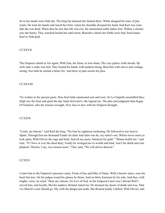So to her death went Alda fair. The king but deemed she fainted there. While dropped his tears of pity warm, He took her hands and raised her form. Upon his shoulder drooped her head, And Karl was ware that she was dead. When thus he saw that life was o'er, He summoned noble ladies four. Within a cloister was she borne; They watched beside her until morn; Beneath a shrine her limbs were laid; Such honor Karl to Alda paid.

### **CCXXVII**

The Emperor sitteth in Aix again, With Gan, the felon, in iron chain, The very palace walls beside, By serfs unto a stake was tied. They bound his hands with leathern thong, Beat him with staves and cordage strong; Nor hath he earned a better fee. And there in pain awaits his plea.

## **CCXXVIII**

'Tis written in the ancient geste, How Karl hath summoned east and west. At La Chapelle assembled they; High was the feast and great the day Saint Sylvester's, the legend ran. The plea and judgment then began Of Ganelon, who the treason wrought, Now face to face with his Emperor brought.

## **CCXXIX**

"Lords, my barons," said Karl the king, "On Gan be righteous reckoning: He followed in my host to Spain; Through him ten thousand Franks lie slain And slain was he, my sister's son, Whom never more ye look upon, With Olivier the sage and bold, And all my peers, betrayed for gold." "Shame befall me," said Gan, "if I Now or ever the deed deny; Foully he wronged me in wealth and land, And I his death and ruin planned: Therein, I say, was treason none." They said, "We will advise thereon."

#### **CCXXX**

Count Gan to the Emperor's presence came, Fresh of hue and lithe of frame, With a baron's mien, were his heart but true. On his judges round his glance he threw, And on thirty kinsmen by his side, And thus, with mighty voice, he cried: "Hear me, barons, for love of God. In the Emperor's host was I abroad Well I served him, and loyally, But his nephew, Roland, hated me: He doomed my doom of death and woe, That I to Marsil's court should go. My craft the danger put aside, But Roland loudly I defied, With Olivier, and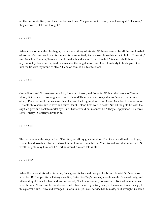all their crew, As Karl, and these his barons, knew. Vengeance, not treason, have I wrought." "Thereon," they answered, "take we thought."

## **CCXXXI**

When Ganelon saw the plea begin, He mustered thirty of his kin, With one revered by all the rest Pinabel of Sorrence's crest. Well can his tongue his cause unfold, And a vassal brave his arms to hold. "Thine aid," said Ganelon, "I claim; To rescue me from death and shame." Said Pinabel, "Rescued shalt thou be. Let any Frank thy death decree, And, wheresoe'er the king deems meet, I will him body to body greet, Give him the lie with my brand of steel." Ganelon sank at his feet to kneel.

## **CCXXXII**

Come Frank and Norman to council in, Bavarian, Saxon, and Poitevin, With all the barons of Teuton blood; But the men of Auvergne are mild of mood Their hearts are swayed unto Pinabel. Saith each to other, "Pause we well. Let us leave this plea, and the king implore To set Count Ganelon free once more, Henceforth to serve him in love and faith: Count Roland lieth cold in death: Not all the gold beneath the sky Can give him back to mortal eye; Such battle would but madness be." They all applauded his decree, Save Thierry - Geoffrey's brother he.

#### **CCXXXIII**

The barons came the king before. "Fair Sire, we all thy grace implore, That Gan be suffered free to go, His faith and love henceforth to show. Oh, let him live - a noble he. Your Roland you shall never see: No wealth of gold may him recall." Karl answered, "Ye are felons all."

#### **CCXXXIV**

When Karl saw all forsake him now, Dark grew his face and drooped his brow. He said, "Of men most wretched I!" Stepped forth Thierry speedily, Duke Geoffrey's brother, a noble knight, Spare of body, and lithe and light, Dark his hair and his hue withal, Nor low of stature, nor over tall: To Karl, in courteous wise, he said, "Fair Sire, be not disheartened. I have served you truly, and, in the name Of my lineage, I this quarrel claim. If Roland wronged Sir Gan in aught, Your service had his safeguard wrought. Ganelon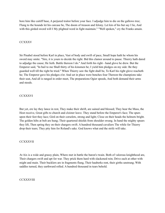bore him like caitiff base, A perjured traitor before your face. I adjudge him to die on the gallows tree; Flung to the hounds let his carcase be, The doom of treason and felony. Let kin of his but say I lie, And with this girded sword will I My plighted word in fight maintain." "Well spoken," cry the Franks amain.

## **CCXXXV**

Sir Pinabel stood before Karl in place, Vast of body and swift of pace, Small hope hath he whom his sword may smite. "Sire, it is yours to decide the right. Bid this clamor around to pause. Thierry hath dared to adjudge the cause; He lieth. Battle thereon I do." And forth his right - hand glove he drew. But the Emperor said, "In bail to me Shall thirty of his kinsmen be; I yield him pledges on my side: Be they guarded well till the right be tried." When Thierry saw the fight shall be, To Karl his right glove reacheth he; The Emperor gave his pledges o'er. And set in place were benches four Thereon the champions take their seat, And all is ranged in order meet, The preparations Ogier speeds, And both demand their arms and steeds.

## **CCXXXVI**

But yet, ere lay they lance in rest, They make their shrift, are sained and blessed; They hear the Mass, the Host receive, Great gifts to church and cloister leave. They stand before the Emperor's face; The spurs upon their feet they lace; Gird on their corselets, strong and light; Close on their heads the helmets bright. The golden hilts at belt are hung; Their quartered shields from shoulder swung. In hand the mighty spears they lift, Then spring they on their chargers swift. A hundred thousand cavaliers The while for Thierry drop their tears; They pity him for Roland's sake. God knows what end the strife will take.

#### **CCXXXVII**

At Aix is a wide and grassy plain, Where met in battle the baron's twain. Both of valorous knighthood are, Their chargers swift and apt for war. They prick them hard with slackened rein; Drive each at other with might and main. Their bucklers are in fragments flung, Their hauberks rent, their girths unstrung; With saddles turned, they earthward rolled. A hundred thousand in tears behold.

#### **CCXXXVIII**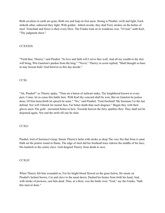Both cavaliers to earth are gone, Both rise and leap on foot anon. Strong is Pinabel, swift and light; Each striketh other, unhorsed they fight; With golden - hilted swords, they deal Fiery strokes on the helms of steel. Trenchant and fierce is their every blow. The Franks look on in wondrous woe. "O God," saith Karl, "Thy judgment show."

# **CCXXXIX**

"Yield thee, Thierry," said Pinabel. "In love and faith will I serve thee well, And all my wealth to thy feet will bring, Win Ganelon's pardon from the king." "Never," Thierry in scorn replied, "Shall thought so base in may bosom bide! God betwixt us this day decide."

## **CCXL**

"Ah, Pinabel!" so Thierry spake, "Thou art a baron of stalwart make, Thy knighthood known to every peer, Come, let us cease this battle here. With Karl thy concord shall be won, But on Ganelon be justice done; Of him henceforth let speech be none." "No," said Pinabel; "God forefend! My kinsman I to the last defend; Nor will I blench for mortal face, Far better death than such disgrace." Began they with their glaves anew The gold - encrusted helms to hew; Towards heaven the fiery sparkles flew. They shall not be disjoined again, Nor end the strife till one be slain.

## **CCXLI**

Pinabel, lord of Sorrence's keep, Smote Thierry's helm with stroke so deep The very fire that from it came Hath set the prairie round in flame; The edge of steel did his forehead trace Adown the middle of his face; His hauberk to the centre clave. God deigned Thierry from death to save.

## **CCXLII**

When Thierry felt him wounded so, For his bright blood flowed on the grass below, He smote on Pinabel's helmet brown, Cut and clave to the nasal down; Dashed his brains from forth his head, And, with stroke of prowess, cast him dead. Thus, at a blow, was the battle won: "God," say the Franks, "hath this marvel done."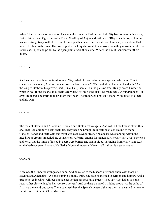### **CCXLIII**

When Thierry thus was conqueror, He came the Emperor Karl before. Full fifty barons were in his train, Duke Naimes, and Ogier the noble Dane, Geoffrey of Anjou and William of Blaye. Karl clasped him in his arms straightway With skin of sable he wiped his face; Then cast it from him, and, in its place, Bade him in fresh attire be drest. His armor gently the knights divest; On an Arab mule they make him ride: So returns he, in joy and pride. To the open plain of Aix they come, Where the kin of Ganelon wait their doom.

## **CCXLIV**

Karl his dukes and his counts addressed: "Say, what of those who in bondage rest Who came Count Ganelon's plea to aid, And for Pinabel were bailsmen made?" "One and all let them die the death." And the king to Basbrun, his provost, saith, "Go, hang them all on the gallows tree. By my beard I swear, so white to see, If one escape, thou shalt surely die." "Mine be the task," he made reply. A hundred men - at arms are there: The thirty to their doom they bear. The traitor shall his guilt atone, With blood of others and his own.

#### **CCXLV**

The men of Bavaria and Allemaine, Norman and Breton return again, And with all the Franks aloud they cry, That Gan a traitor's death shall die. They bade be brought four stallions fleet; Bound to them Ganelon, hands and feet: Wild and swift was each savage steed, And a mare was standing within the mead; Four grooms impelled the coursers on, A fearful ending for Ganelon. His every nerve was stretched and torn, And the limbs of his body apart were borne; The bright blood, springing from every vein, Left on the herbage green its stain. He died a felon and recreant: Never shall traitor his treason vaunt.

#### **CCXLVI**

Now was the Emperor's vengeance done, And he called to the bishops of France anon With those of Bavaria and Allemaine. "A noble captive is in my train. She hath hearkened to sermon and homily, And a true believer in Christ will be; Baptize her so that her soul have grace." They say, "Let ladies of noble race, At her christening, be her sponsors vowed." And so there gathered a mighty crowd. At the baths of Aix was the wondrous scene There baptized they the Spanish queen; Julienne they have named her name. In faith and truth unto Christ she came.